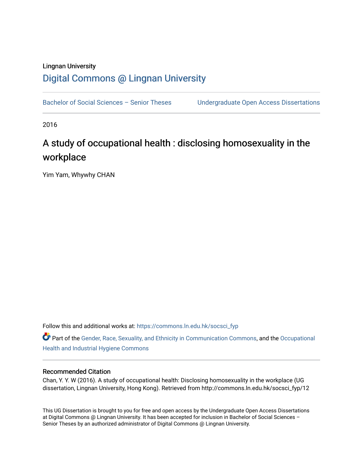# Lingnan University [Digital Commons @ Lingnan University](https://commons.ln.edu.hk/)

Bachelor of Social Sciences - Senior Theses Undergraduate Open Access Dissertations

2016

# A study of occupational health : disclosing homosexuality in the workplace

Yim Yam, Whywhy CHAN

Follow this and additional works at: [https://commons.ln.edu.hk/socsci\\_fyp](https://commons.ln.edu.hk/socsci_fyp?utm_source=commons.ln.edu.hk%2Fsocsci_fyp%2F12&utm_medium=PDF&utm_campaign=PDFCoverPages)

Part of the [Gender, Race, Sexuality, and Ethnicity in Communication Commons,](http://network.bepress.com/hgg/discipline/329?utm_source=commons.ln.edu.hk%2Fsocsci_fyp%2F12&utm_medium=PDF&utm_campaign=PDFCoverPages) and the [Occupational](http://network.bepress.com/hgg/discipline/742?utm_source=commons.ln.edu.hk%2Fsocsci_fyp%2F12&utm_medium=PDF&utm_campaign=PDFCoverPages)  [Health and Industrial Hygiene Commons](http://network.bepress.com/hgg/discipline/742?utm_source=commons.ln.edu.hk%2Fsocsci_fyp%2F12&utm_medium=PDF&utm_campaign=PDFCoverPages)

## Recommended Citation

Chan, Y. Y. W (2016). A study of occupational health: Disclosing homosexuality in the workplace (UG dissertation, Lingnan University, Hong Kong). Retrieved from http://commons.ln.edu.hk/socsci\_fyp/12

This UG Dissertation is brought to you for free and open access by the Undergraduate Open Access Dissertations at Digital Commons @ Lingnan University. It has been accepted for inclusion in Bachelor of Social Sciences – Senior Theses by an authorized administrator of Digital Commons @ Lingnan University.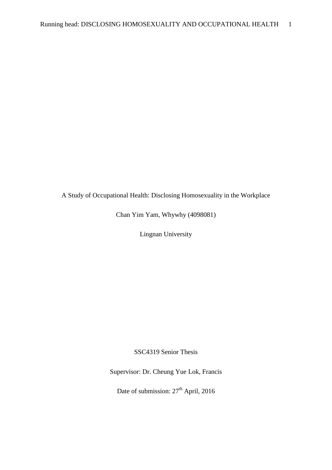# A Study of Occupational Health: Disclosing Homosexuality in the Workplace

Chan Yim Yam, Whywhy (4098081)

Lingnan University

SSC4319 Senior Thesis

Supervisor: Dr. Cheung Yue Lok, Francis

Date of submission:  $27<sup>th</sup>$  April, 2016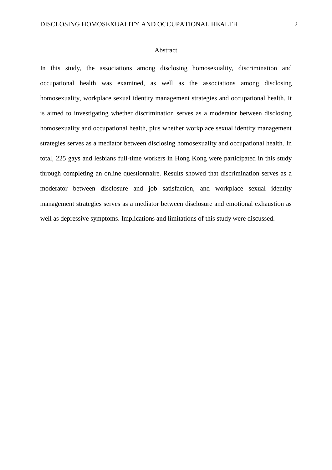#### Abstract

In this study, the associations among disclosing homosexuality, discrimination and occupational health was examined, as well as the associations among disclosing homosexuality, workplace sexual identity management strategies and occupational health. It is aimed to investigating whether discrimination serves as a moderator between disclosing homosexuality and occupational health, plus whether workplace sexual identity management strategies serves as a mediator between disclosing homosexuality and occupational health. In total, 225 gays and lesbians full-time workers in Hong Kong were participated in this study through completing an online questionnaire. Results showed that discrimination serves as a moderator between disclosure and job satisfaction, and workplace sexual identity management strategies serves as a mediator between disclosure and emotional exhaustion as well as depressive symptoms. Implications and limitations of this study were discussed.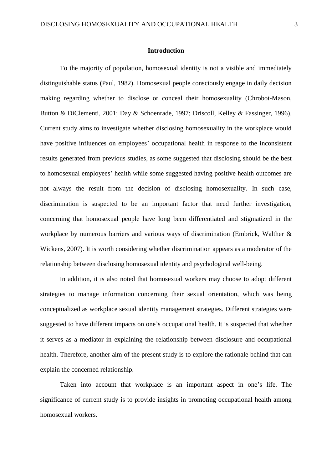#### **Introduction**

To the majority of population, homosexual identity is not a visible and immediately distinguishable status **(**Paul, 1982). Homosexual people consciously engage in daily decision making regarding whether to disclose or conceal their homosexuality (Chrobot-Mason, Button & DiClementi, 2001; Day & Schoenrade, 1997; Driscoll, Kelley & Fassinger, 1996). Current study aims to investigate whether disclosing homosexuality in the workplace would have positive influences on employees' occupational health in response to the inconsistent results generated from previous studies, as some suggested that disclosing should be the best to homosexual employees' health while some suggested having positive health outcomes are not always the result from the decision of disclosing homosexuality. In such case, discrimination is suspected to be an important factor that need further investigation, concerning that homosexual people have long been differentiated and stigmatized in the workplace by numerous barriers and various ways of discrimination (Embrick, Walther & Wickens, 2007). It is worth considering whether discrimination appears as a moderator of the relationship between disclosing homosexual identity and psychological well-being.

In addition, it is also noted that homosexual workers may choose to adopt different strategies to manage information concerning their sexual orientation, which was being conceptualized as workplace sexual identity management strategies. Different strategies were suggested to have different impacts on one's occupational health. It is suspected that whether it serves as a mediator in explaining the relationship between disclosure and occupational health. Therefore, another aim of the present study is to explore the rationale behind that can explain the concerned relationship.

Taken into account that workplace is an important aspect in one's life. The significance of current study is to provide insights in promoting occupational health among homosexual workers.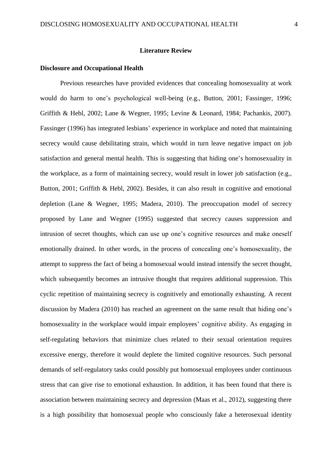#### **Literature Review**

#### **Disclosure and Occupational Health**

Previous researches have provided evidences that concealing homosexuality at work would do harm to one's psychological well-being (e.g., Button, 2001; Fassinger, 1996; Griffith & Hebl, 2002; Lane & Wegner, 1995; Levine & Leonard, 1984; Pachankis, 2007). Fassinger (1996) has integrated lesbians' experience in workplace and noted that maintaining secrecy would cause debilitating strain, which would in turn leave negative impact on job satisfaction and general mental health. This is suggesting that hiding one's homosexuality in the workplace, as a form of maintaining secrecy, would result in lower job satisfaction (e.g., Button, 2001; Griffith & Hebl, 2002). Besides, it can also result in cognitive and emotional depletion (Lane & Wegner, 1995; Madera, 2010). The preoccupation model of secrecy proposed by Lane and Wegner (1995) suggested that secrecy causes suppression and intrusion of secret thoughts, which can use up one's cognitive resources and make oneself emotionally drained. In other words, in the process of concealing one's homosexuality, the attempt to suppress the fact of being a homosexual would instead intensify the secret thought, which subsequently becomes an intrusive thought that requires additional suppression. This cyclic repetition of maintaining secrecy is cognitively and emotionally exhausting. A recent discussion by Madera (2010) has reached an agreement on the same result that hiding one's homosexuality in the workplace would impair employees' cognitive ability. As engaging in self-regulating behaviors that minimize clues related to their sexual orientation requires excessive energy, therefore it would deplete the limited cognitive resources. Such personal demands of self-regulatory tasks could possibly put homosexual employees under continuous stress that can give rise to emotional exhaustion. In addition, it has been found that there is association between maintaining secrecy and depression (Maas et al., 2012), suggesting there is a high possibility that homosexual people who consciously fake a heterosexual identity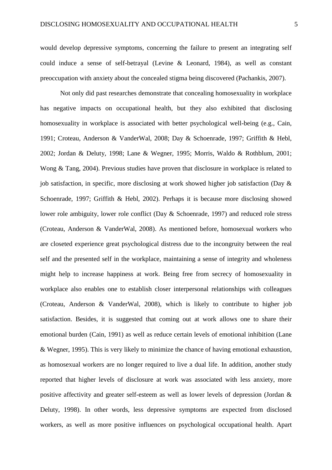would develop depressive symptoms, concerning the failure to present an integrating self could induce a sense of self-betrayal (Levine & Leonard, 1984), as well as constant preoccupation with anxiety about the concealed stigma being discovered (Pachankis, 2007).

Not only did past researches demonstrate that concealing homosexuality in workplace has negative impacts on occupational health, but they also exhibited that disclosing homosexuality in workplace is associated with better psychological well-being (e.g., Cain, 1991; Croteau, Anderson & VanderWal, 2008; Day & Schoenrade, 1997; Griffith & Hebl, 2002; Jordan & Deluty, 1998; Lane & Wegner, 1995; Morris, Waldo & Rothblum, 2001; Wong & Tang, 2004). Previous studies have proven that disclosure in workplace is related to job satisfaction, in specific, more disclosing at work showed higher job satisfaction (Day & Schoenrade, 1997; Griffith & Hebl, 2002). Perhaps it is because more disclosing showed lower role ambiguity, lower role conflict (Day & Schoenrade, 1997) and reduced role stress (Croteau, Anderson & VanderWal, 2008). As mentioned before, homosexual workers who are closeted experience great psychological distress due to the incongruity between the real self and the presented self in the workplace, maintaining a sense of integrity and wholeness might help to increase happiness at work. Being free from secrecy of homosexuality in workplace also enables one to establish closer interpersonal relationships with colleagues (Croteau, Anderson & VanderWal, 2008), which is likely to contribute to higher job satisfaction. Besides, it is suggested that coming out at work allows one to share their emotional burden (Cain, 1991) as well as reduce certain levels of emotional inhibition (Lane & Wegner, 1995). This is very likely to minimize the chance of having emotional exhaustion, as homosexual workers are no longer required to live a dual life. In addition, another study reported that higher levels of disclosure at work was associated with less anxiety, more positive affectivity and greater self-esteem as well as lower levels of depression (Jordan & Deluty, 1998). In other words, less depressive symptoms are expected from disclosed workers, as well as more positive influences on psychological occupational health. Apart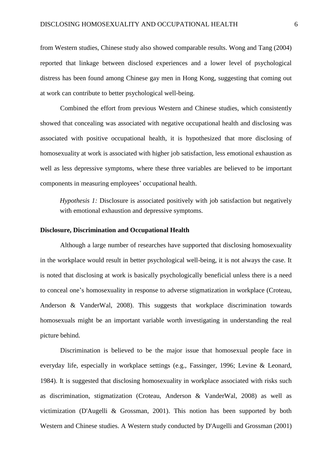from Western studies, Chinese study also showed comparable results. Wong and Tang (2004) reported that linkage between disclosed experiences and a lower level of psychological distress has been found among Chinese gay men in Hong Kong, suggesting that coming out at work can contribute to better psychological well-being.

Combined the effort from previous Western and Chinese studies, which consistently showed that concealing was associated with negative occupational health and disclosing was associated with positive occupational health, it is hypothesized that more disclosing of homosexuality at work is associated with higher job satisfaction, less emotional exhaustion as well as less depressive symptoms, where these three variables are believed to be important components in measuring employees' occupational health.

*Hypothesis 1:* Disclosure is associated positively with job satisfaction but negatively with emotional exhaustion and depressive symptoms.

#### **Disclosure, Discrimination and Occupational Health**

Although a large number of researches have supported that disclosing homosexuality in the workplace would result in better psychological well-being, it is not always the case. It is noted that disclosing at work is basically psychologically beneficial unless there is a need to conceal one's homosexuality in response to adverse stigmatization in workplace (Croteau, Anderson & VanderWal, 2008). This suggests that workplace discrimination towards homosexuals might be an important variable worth investigating in understanding the real picture behind.

Discrimination is believed to be the major issue that homosexual people face in everyday life, especially in workplace settings (e.g., Fassinger, 1996; Levine & Leonard, 1984). It is suggested that disclosing homosexuality in workplace associated with risks such as discrimination, stigmatization (Croteau, Anderson & VanderWal, 2008) as well as victimization (D'Augelli & Grossman, 2001). This notion has been supported by both Western and Chinese studies. A Western study conducted by D'Augelli and Grossman (2001)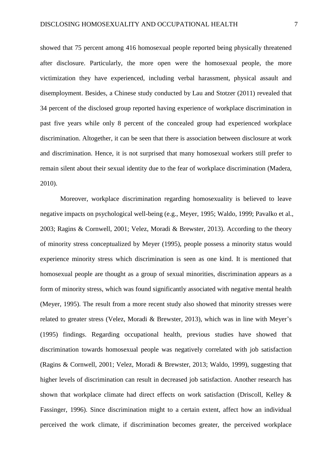showed that 75 percent among 416 homosexual people reported being physically threatened after disclosure. Particularly, the more open were the homosexual people, the more victimization they have experienced, including verbal harassment, physical assault and disemployment. Besides, a Chinese study conducted by Lau and Stotzer (2011) revealed that 34 percent of the disclosed group reported having experience of workplace discrimination in past five years while only 8 percent of the concealed group had experienced workplace discrimination. Altogether, it can be seen that there is association between disclosure at work and discrimination. Hence, it is not surprised that many homosexual workers still prefer to remain silent about their sexual identity due to the fear of workplace discrimination (Madera, 2010).

Moreover, workplace discrimination regarding homosexuality is believed to leave negative impacts on psychological well-being (e.g., Meyer, 1995; Waldo, 1999; Pavalko et al., 2003; Ragins & Cornwell, 2001; Velez, Moradi & Brewster, 2013). According to the theory of minority stress conceptualized by Meyer (1995), people possess a minority status would experience minority stress which discrimination is seen as one kind. It is mentioned that homosexual people are thought as a group of sexual minorities, discrimination appears as a form of minority stress, which was found significantly associated with negative mental health (Meyer, 1995). The result from a more recent study also showed that minority stresses were related to greater stress (Velez, Moradi & Brewster, 2013), which was in line with Meyer's (1995) findings. Regarding occupational health, previous studies have showed that discrimination towards homosexual people was negatively correlated with job satisfaction (Ragins & Cornwell, 2001; Velez, Moradi & Brewster, 2013; Waldo, 1999), suggesting that higher levels of discrimination can result in decreased job satisfaction. Another research has shown that workplace climate had direct effects on work satisfaction (Driscoll, Kelley & Fassinger, 1996). Since discrimination might to a certain extent, affect how an individual perceived the work climate, if discrimination becomes greater, the perceived workplace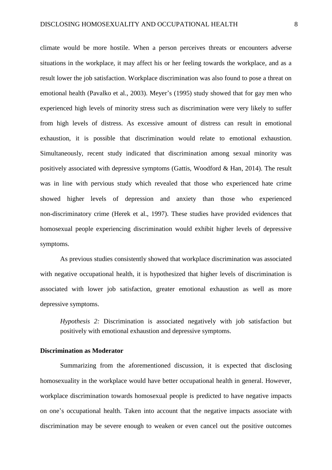climate would be more hostile. When a person perceives threats or encounters adverse situations in the workplace, it may affect his or her feeling towards the workplace, and as a result lower the job satisfaction. Workplace discrimination was also found to pose a threat on emotional health (Pavalko et al., 2003). Meyer's (1995) study showed that for gay men who experienced high levels of minority stress such as discrimination were very likely to suffer from high levels of distress. As excessive amount of distress can result in emotional exhaustion, it is possible that discrimination would relate to emotional exhaustion. Simultaneously, recent study indicated that discrimination among sexual minority was positively associated with depressive symptoms (Gattis, Woodford & Han, 2014). The result was in line with pervious study which revealed that those who experienced hate crime showed higher levels of depression and anxiety than those who experienced non-discriminatory crime (Herek et al., 1997). These studies have provided evidences that homosexual people experiencing discrimination would exhibit higher levels of depressive symptoms.

As previous studies consistently showed that workplace discrimination was associated with negative occupational health, it is hypothesized that higher levels of discrimination is associated with lower job satisfaction, greater emotional exhaustion as well as more depressive symptoms.

*Hypothesis 2:* Discrimination is associated negatively with job satisfaction but positively with emotional exhaustion and depressive symptoms.

#### **Discrimination as Moderator**

Summarizing from the aforementioned discussion, it is expected that disclosing homosexuality in the workplace would have better occupational health in general. However, workplace discrimination towards homosexual people is predicted to have negative impacts on one's occupational health. Taken into account that the negative impacts associate with discrimination may be severe enough to weaken or even cancel out the positive outcomes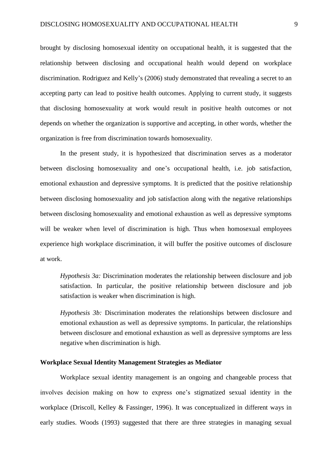brought by disclosing homosexual identity on occupational health, it is suggested that the relationship between disclosing and occupational health would depend on workplace discrimination. Rodriguez and Kelly's (2006) study demonstrated that revealing a secret to an accepting party can lead to positive health outcomes. Applying to current study, it suggests that disclosing homosexuality at work would result in positive health outcomes or not depends on whether the organization is supportive and accepting, in other words, whether the organization is free from discrimination towards homosexuality.

In the present study, it is hypothesized that discrimination serves as a moderator between disclosing homosexuality and one's occupational health, i.e. job satisfaction, emotional exhaustion and depressive symptoms. It is predicted that the positive relationship between disclosing homosexuality and job satisfaction along with the negative relationships between disclosing homosexuality and emotional exhaustion as well as depressive symptoms will be weaker when level of discrimination is high. Thus when homosexual employees experience high workplace discrimination, it will buffer the positive outcomes of disclosure at work.

*Hypothesis 3a:* Discrimination moderates the relationship between disclosure and job satisfaction. In particular, the positive relationship between disclosure and job satisfaction is weaker when discrimination is high.

*Hypothesis 3b:* Discrimination moderates the relationships between disclosure and emotional exhaustion as well as depressive symptoms. In particular, the relationships between disclosure and emotional exhaustion as well as depressive symptoms are less negative when discrimination is high.

#### **Workplace Sexual Identity Management Strategies as Mediator**

Workplace sexual identity management is an ongoing and changeable process that involves decision making on how to express one's stigmatized sexual identity in the workplace (Driscoll, Kelley & Fassinger, 1996). It was conceptualized in different ways in early studies. Woods (1993) suggested that there are three strategies in managing sexual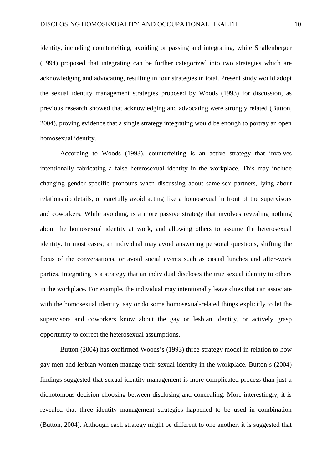identity, including counterfeiting, avoiding or passing and integrating, while Shallenberger (1994) proposed that integrating can be further categorized into two strategies which are acknowledging and advocating, resulting in four strategies in total. Present study would adopt the sexual identity management strategies proposed by Woods (1993) for discussion, as previous research showed that acknowledging and advocating were strongly related (Button, 2004), proving evidence that a single strategy integrating would be enough to portray an open homosexual identity.

According to Woods (1993), counterfeiting is an active strategy that involves intentionally fabricating a false heterosexual identity in the workplace. This may include changing gender specific pronouns when discussing about same-sex partners, lying about relationship details, or carefully avoid acting like a homosexual in front of the supervisors and coworkers. While avoiding, is a more passive strategy that involves revealing nothing about the homosexual identity at work, and allowing others to assume the heterosexual identity. In most cases, an individual may avoid answering personal questions, shifting the focus of the conversations, or avoid social events such as casual lunches and after-work parties. Integrating is a strategy that an individual discloses the true sexual identity to others in the workplace. For example, the individual may intentionally leave clues that can associate with the homosexual identity, say or do some homosexual-related things explicitly to let the supervisors and coworkers know about the gay or lesbian identity, or actively grasp opportunity to correct the heterosexual assumptions.

Button (2004) has confirmed Woods's (1993) three-strategy model in relation to how gay men and lesbian women manage their sexual identity in the workplace. Button's (2004) findings suggested that sexual identity management is more complicated process than just a dichotomous decision choosing between disclosing and concealing. More interestingly, it is revealed that three identity management strategies happened to be used in combination (Button, 2004). Although each strategy might be different to one another, it is suggested that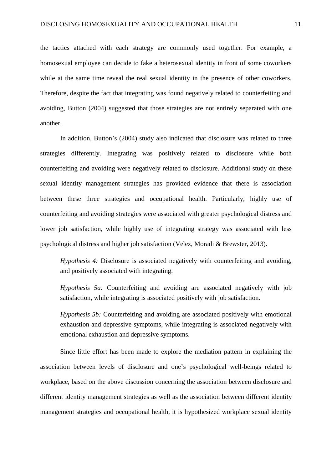the tactics attached with each strategy are commonly used together. For example, a homosexual employee can decide to fake a heterosexual identity in front of some coworkers while at the same time reveal the real sexual identity in the presence of other coworkers. Therefore, despite the fact that integrating was found negatively related to counterfeiting and avoiding, Button (2004) suggested that those strategies are not entirely separated with one another.

In addition, Button's (2004) study also indicated that disclosure was related to three strategies differently. Integrating was positively related to disclosure while both counterfeiting and avoiding were negatively related to disclosure. Additional study on these sexual identity management strategies has provided evidence that there is association between these three strategies and occupational health. Particularly, highly use of counterfeiting and avoiding strategies were associated with greater psychological distress and lower job satisfaction, while highly use of integrating strategy was associated with less psychological distress and higher job satisfaction (Velez, Moradi & Brewster, 2013).

*Hypothesis 4:* Disclosure is associated negatively with counterfeiting and avoiding, and positively associated with integrating.

*Hypothesis 5a:* Counterfeiting and avoiding are associated negatively with job satisfaction, while integrating is associated positively with job satisfaction.

*Hypothesis 5b:* Counterfeiting and avoiding are associated positively with emotional exhaustion and depressive symptoms, while integrating is associated negatively with emotional exhaustion and depressive symptoms.

Since little effort has been made to explore the mediation pattern in explaining the association between levels of disclosure and one's psychological well-beings related to workplace, based on the above discussion concerning the association between disclosure and different identity management strategies as well as the association between different identity management strategies and occupational health, it is hypothesized workplace sexual identity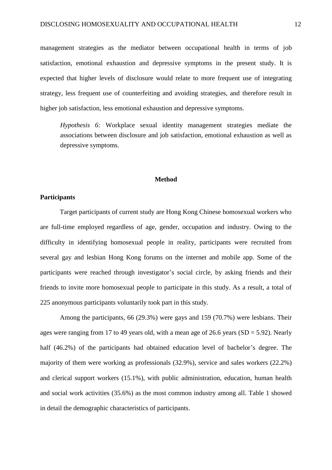management strategies as the mediator between occupational health in terms of job satisfaction, emotional exhaustion and depressive symptoms in the present study. It is expected that higher levels of disclosure would relate to more frequent use of integrating strategy, less frequent use of counterfeiting and avoiding strategies, and therefore result in higher job satisfaction, less emotional exhaustion and depressive symptoms.

*Hypothesis 6:* Workplace sexual identity management strategies mediate the associations between disclosure and job satisfaction, emotional exhaustion as well as depressive symptoms.

#### **Method**

# **Participants**

Target participants of current study are Hong Kong Chinese homosexual workers who are full-time employed regardless of age, gender, occupation and industry. Owing to the difficulty in identifying homosexual people in reality, participants were recruited from several gay and lesbian Hong Kong forums on the internet and mobile app. Some of the participants were reached through investigator's social circle, by asking friends and their friends to invite more homosexual people to participate in this study. As a result, a total of 225 anonymous participants voluntarily took part in this study.

Among the participants, 66 (29.3%) were gays and 159 (70.7%) were lesbians. Their ages were ranging from 17 to 49 years old, with a mean age of 26.6 years (SD = 5.92). Nearly half (46.2%) of the participants had obtained education level of bachelor's degree. The majority of them were working as professionals (32.9%), service and sales workers (22.2%) and clerical support workers (15.1%), with public administration, education, human health and social work activities (35.6%) as the most common industry among all. Table 1 showed in detail the demographic characteristics of participants.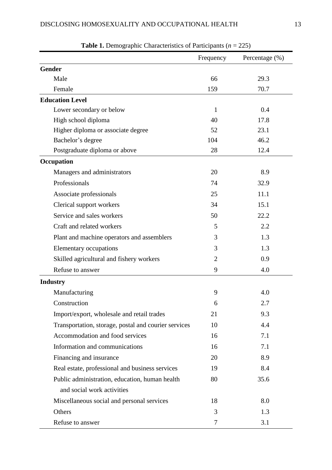|                                                      | Frequency      | Percentage (%) |
|------------------------------------------------------|----------------|----------------|
| <b>Gender</b>                                        |                |                |
| Male                                                 | 66             | 29.3           |
| Female                                               | 159            | 70.7           |
| <b>Education Level</b>                               |                |                |
| Lower secondary or below                             | $\mathbf{1}$   | 0.4            |
| High school diploma                                  | 40             | 17.8           |
| Higher diploma or associate degree                   | 52             | 23.1           |
| Bachelor's degree                                    | 104            | 46.2           |
| Postgraduate diploma or above                        | 28             | 12.4           |
| Occupation                                           |                |                |
| Managers and administrators                          | 20             | 8.9            |
| Professionals                                        | 74             | 32.9           |
| Associate professionals                              | 25             | 11.1           |
| Clerical support workers                             | 34             | 15.1           |
| Service and sales workers                            | 50             | 22.2           |
| Craft and related workers                            | 5              | 2.2            |
| Plant and machine operators and assemblers           | 3              | 1.3            |
| Elementary occupations                               | 3              | 1.3            |
| Skilled agricultural and fishery workers             | $\overline{2}$ | 0.9            |
| Refuse to answer                                     | 9              | 4.0            |
| <b>Industry</b>                                      |                |                |
| Manufacturing                                        | 9              | 4.0            |
| Construction                                         | 6              | 2.7            |
| Import/export, wholesale and retail trades           | 21             | 9.3            |
| Transportation, storage, postal and courier services | 10             | 4.4            |
| Accommodation and food services                      | 16             | 7.1            |
| Information and communications                       | 16             | 7.1            |
| Financing and insurance                              | 20             | 8.9            |
| Real estate, professional and business services      | 19             | 8.4            |
| Public administration, education, human health       | 80             | 35.6           |
| and social work activities                           |                |                |
| Miscellaneous social and personal services           | 18             | 8.0            |
| Others                                               | 3              | 1.3            |
| Refuse to answer                                     | 7              | 3.1            |

**Table 1.** Demographic Characteristics of Participants (*n* = 225)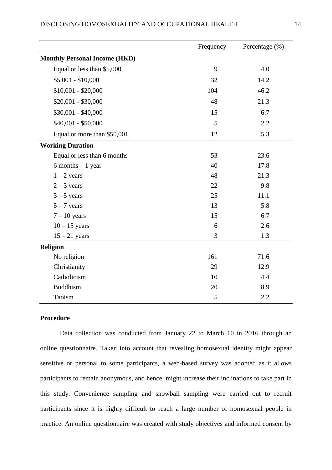|                                      | Frequency | Percentage (%) |
|--------------------------------------|-----------|----------------|
| <b>Monthly Personal Income (HKD)</b> |           |                |
| Equal or less than \$5,000           | 9         | 4.0            |
| $$5,001 - $10,000$                   | 32        | 14.2           |
| $$10,001 - $20,000$                  | 104       | 46.2           |
| $$20,001 - $30,000$                  | 48        | 21.3           |
| $$30,001 - $40,000$                  | 15        | 6.7            |
| $$40,001 - $50,000$                  | 5         | 2.2            |
| Equal or more than \$50,001          | 12        | 5.3            |
| <b>Working Duration</b>              |           |                |
| Equal or less than 6 months          | 53        | 23.6           |
| $6$ months $-1$ year                 | 40        | 17.8           |
| $1 - 2$ years                        | 48        | 21.3           |
| $2 - 3$ years                        | 22        | 9.8            |
| $3 - 5$ years                        | 25        | 11.1           |
| $5 - 7$ years                        | 13        | 5.8            |
| $7 - 10$ years                       | 15        | 6.7            |
| $10 - 15$ years                      | 6         | 2.6            |
| $15 - 21$ years                      | 3         | 1.3            |
| <b>Religion</b>                      |           |                |
| No religion                          | 161       | 71.6           |
| Christianity                         | 29        | 12.9           |
| Catholicism                          | 10        | 4.4            |
| <b>Buddhism</b>                      | 20        | 8.9            |
| Taoism                               | 5         | 2.2            |

# **Procedure**

Data collection was conducted from January 22 to March 10 in 2016 through an online questionnaire. Taken into account that revealing homosexual identity might appear sensitive or personal to some participants, a web-based survey was adopted as it allows participants to remain anonymous, and hence, might increase their inclinations to take part in this study. Convenience sampling and snowball sampling were carried out to recruit participants since it is highly difficult to reach a large number of homosexual people in practice. An online questionnaire was created with study objectives and informed consent by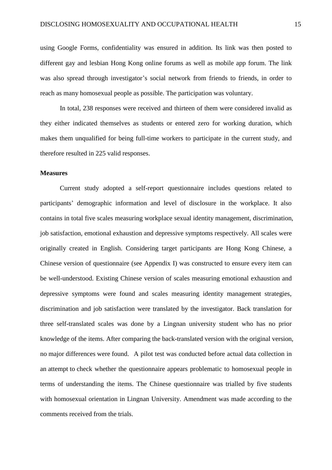using Google Forms, confidentiality was ensured in addition. Its link was then posted to different gay and lesbian Hong Kong online forums as well as mobile app forum. The link was also spread through investigator's social network from friends to friends, in order to reach as many homosexual people as possible. The participation was voluntary.

In total, 238 responses were received and thirteen of them were considered invalid as they either indicated themselves as students or entered zero for working duration, which makes them unqualified for being full-time workers to participate in the current study, and therefore resulted in 225 valid responses.

#### **Measures**

Current study adopted a self-report questionnaire includes questions related to participants' demographic information and level of disclosure in the workplace. It also contains in total five scales measuring workplace sexual identity management, discrimination, job satisfaction, emotional exhaustion and depressive symptoms respectively. All scales were originally created in English. Considering target participants are Hong Kong Chinese, a Chinese version of questionnaire (see Appendix I) was constructed to ensure every item can be well-understood. Existing Chinese version of scales measuring emotional exhaustion and depressive symptoms were found and scales measuring identity management strategies, discrimination and job satisfaction were translated by the investigator. Back translation for three self-translated scales was done by a Lingnan university student who has no prior knowledge of the items. After comparing the back-translated version with the original version, no major differences were found. A pilot test was conducted before actual data collection in an attempt to check whether the questionnaire appears problematic to homosexual people in terms of understanding the items. The Chinese questionnaire was trialled by five students with homosexual orientation in Lingnan University. Amendment was made according to the comments received from the trials.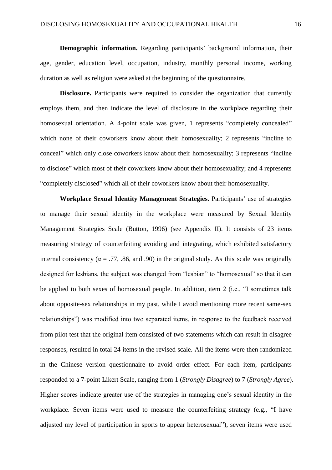**Demographic information.** Regarding participants' background information, their age, gender, education level, occupation, industry, monthly personal income, working duration as well as religion were asked at the beginning of the questionnaire.

**Disclosure.** Participants were required to consider the organization that currently employs them, and then indicate the level of disclosure in the workplace regarding their homosexual orientation. A 4-point scale was given, 1 represents "completely concealed" which none of their coworkers know about their homosexuality; 2 represents "incline to conceal" which only close coworkers know about their homosexuality; 3 represents "incline to disclose" which most of their coworkers know about their homosexuality; and 4 represents "completely disclosed" which all of their coworkers know about their homosexuality.

**Workplace Sexual Identity Management Strategies.** Participants' use of strategies to manage their sexual identity in the workplace were measured by Sexual Identity Management Strategies Scale (Button, 1996) (see Appendix II). It consists of 23 items measuring strategy of counterfeiting avoiding and integrating, which exhibited satisfactory internal consistency ( $\alpha = .77, .86,$  and .90) in the original study. As this scale was originally designed for lesbians, the subject was changed from "lesbian" to "homosexual" so that it can be applied to both sexes of homosexual people. In addition, item 2 (i.e., "I sometimes talk about opposite-sex relationships in my past, while I avoid mentioning more recent same-sex relationships") was modified into two separated items, in response to the feedback received from pilot test that the original item consisted of two statements which can result in disagree responses, resulted in total 24 items in the revised scale. All the items were then randomized in the Chinese version questionnaire to avoid order effect. For each item, participants responded to a 7-point Likert Scale, ranging from 1 (*Strongly Disagree*) to 7 (*Strongly Agree*). Higher scores indicate greater use of the strategies in managing one's sexual identity in the workplace. Seven items were used to measure the counterfeiting strategy (e.g., "I have adjusted my level of participation in sports to appear heterosexual"), seven items were used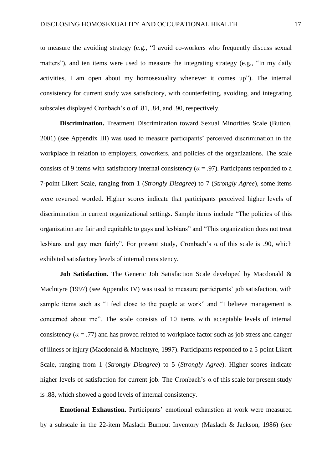to measure the avoiding strategy (e.g., "I avoid co-workers who frequently discuss sexual matters"), and ten items were used to measure the integrating strategy (e.g., "In my daily activities, I am open about my homosexuality whenever it comes up"). The internal consistency for current study was satisfactory, with counterfeiting, avoiding, and integrating subscales displayed Cronbach's α of .81, .84, and .90, respectively.

**Discrimination.** Treatment Discrimination toward Sexual Minorities Scale (Button, 2001) (see Appendix III) was used to measure participants' perceived discrimination in the workplace in relation to employers, coworkers, and policies of the organizations. The scale consists of 9 items with satisfactory internal consistency ( $\alpha$  = .97). Participants responded to a 7-point Likert Scale, ranging from 1 (*Strongly Disagree*) to 7 (*Strongly Agree*), some items were reversed worded. Higher scores indicate that participants perceived higher levels of discrimination in current organizational settings. Sample items include "The policies of this organization are fair and equitable to gays and lesbians" and "This organization does not treat lesbians and gay men fairly". For present study, Cronbach's α of this scale is .90, which exhibited satisfactory levels of internal consistency.

**Job Satisfaction.** The Generic Job Satisfaction Scale developed by Macdonald & Maclntyre (1997) (see Appendix IV) was used to measure participants' job satisfaction, with sample items such as "I feel close to the people at work" and "I believe management is concerned about me". The scale consists of 10 items with acceptable levels of internal consistency ( $\alpha = .77$ ) and has proved related to workplace factor such as job stress and danger of illness or injury (Macdonald & Maclntyre, 1997). Participants responded to a 5-point Likert Scale, ranging from 1 (*Strongly Disagree*) to 5 (*Strongly Agree*). Higher scores indicate higher levels of satisfaction for current job. The Cronbach's α of this scale for present study is .88, which showed a good levels of internal consistency.

**Emotional Exhaustion.** Participants' emotional exhaustion at work were measured by a subscale in the 22-item Maslach Burnout Inventory (Maslach & Jackson, 1986) (see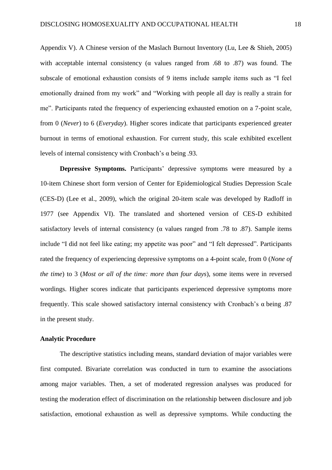Appendix V). A Chinese version of the Maslach Burnout Inventory (Lu, Lee & Shieh, 2005) with acceptable internal consistency ( $\alpha$  values ranged from .68 to .87) was found. The subscale of emotional exhaustion consists of 9 items include sample items such as "I feel emotionally drained from my work" and "Working with people all day is really a strain for me". Participants rated the frequency of experiencing exhausted emotion on a 7-point scale, from 0 (*Never*) to 6 (*Everyday*). Higher scores indicate that participants experienced greater burnout in terms of emotional exhaustion. For current study, this scale exhibited excellent levels of internal consistency with Cronbach's α being .93.

**Depressive Symptoms.** Participants' depressive symptoms were measured by a 10-item Chinese short form version of Center for Epidemiological Studies Depression Scale (CES-D) (Lee et al., 2009), which the original 20-item scale was developed by Radloff in 1977 (see Appendix VI). The translated and shortened version of CES-D exhibited satisfactory levels of internal consistency ( $\alpha$  values ranged from .78 to .87). Sample items include "I did not feel like eating; my appetite was poor" and "I felt depressed". Participants rated the frequency of experiencing depressive symptoms on a 4-point scale, from 0 (*None of the time*) to 3 (*Most or all of the time: more than four days*), some items were in reversed wordings. Higher scores indicate that participants experienced depressive symptoms more frequently. This scale showed satisfactory internal consistency with Cronbach's  $\alpha$  being .87 in the present study.

# **Analytic Procedure**

The descriptive statistics including means, standard deviation of major variables were first computed. Bivariate correlation was conducted in turn to examine the associations among major variables. Then, a set of moderated regression analyses was produced for testing the moderation effect of discrimination on the relationship between disclosure and job satisfaction, emotional exhaustion as well as depressive symptoms. While conducting the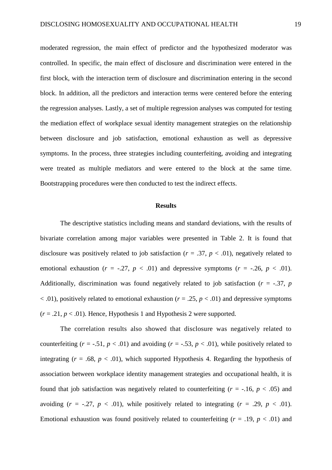moderated regression, the main effect of predictor and the hypothesized moderator was controlled. In specific, the main effect of disclosure and discrimination were entered in the first block, with the interaction term of disclosure and discrimination entering in the second block. In addition, all the predictors and interaction terms were centered before the entering the regression analyses. Lastly, a set of multiple regression analyses was computed for testing the mediation effect of workplace sexual identity management strategies on the relationship between disclosure and job satisfaction, emotional exhaustion as well as depressive symptoms. In the process, three strategies including counterfeiting, avoiding and integrating were treated as multiple mediators and were entered to the block at the same time. Bootstrapping procedures were then conducted to test the indirect effects.

#### **Results**

The descriptive statistics including means and standard deviations, with the results of bivariate correlation among major variables were presented in Table 2. It is found that disclosure was positively related to job satisfaction ( $r = .37$ ,  $p < .01$ ), negatively related to emotional exhaustion ( $r = -.27$ ,  $p < .01$ ) and depressive symptoms ( $r = -.26$ ,  $p < .01$ ). Additionally, discrimination was found negatively related to job satisfaction ( $r = -.37$ ,  $p$ )  $\langle 0.01 \rangle$ , positively related to emotional exhaustion ( $r = .25$ ,  $p < .01$ ) and depressive symptoms  $(r = .21, p < .01)$ . Hence, Hypothesis 1 and Hypothesis 2 were supported.

The correlation results also showed that disclosure was negatively related to counterfeiting  $(r = -.51, p < .01)$  and avoiding  $(r = -.53, p < .01)$ , while positively related to integrating  $(r = .68, p < .01)$ , which supported Hypothesis 4. Regarding the hypothesis of association between workplace identity management strategies and occupational health, it is found that job satisfaction was negatively related to counterfeiting  $(r = -16, p < .05)$  and avoiding  $(r = -.27, p < .01)$ , while positively related to integrating  $(r = .29, p < .01)$ . Emotional exhaustion was found positively related to counterfeiting  $(r = .19, p < .01)$  and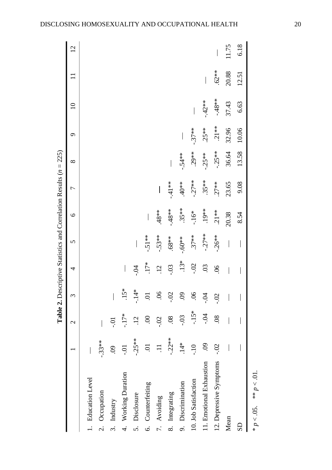|                                   |                     |                 |                          |                          |                          |              | <b>Table 2.</b> Descriptive Statistics and Correlation Results $(n = 225)$ |                          |          |                          |         |                          |
|-----------------------------------|---------------------|-----------------|--------------------------|--------------------------|--------------------------|--------------|----------------------------------------------------------------------------|--------------------------|----------|--------------------------|---------|--------------------------|
|                                   |                     | $\mathbf 2$     | 3                        | 4                        | $\sigma$                 | $\circ$      | $\overline{ }$                                                             | $\infty$                 | $\sigma$ | $\Xi$                    |         | $\overline{2}$           |
| 1. Education Level                |                     |                 |                          |                          |                          |              |                                                                            |                          |          |                          |         |                          |
| Occupation<br>$\dot{\mathcal{C}}$ | $-33**$             |                 |                          |                          |                          |              |                                                                            |                          |          |                          |         |                          |
| Industry<br>$\dot{\mathfrak{c}}$  | $\ddot{\mathrm{S}}$ | io-             | $\overline{\phantom{a}}$ |                          |                          |              |                                                                            |                          |          |                          |         |                          |
| Working Duration<br>न.<br>4       | io-                 | $-17*$          | $15*$                    | $\overline{\phantom{a}}$ |                          |              |                                                                            |                          |          |                          |         |                          |
| Disclosure<br>s.                  | $-25**$             | $\ddot{12}$     | $-14*$                   | $-5$                     |                          |              |                                                                            |                          |          |                          |         |                          |
| Counterfeiting<br>Ġ               | Ξ.                  | $\odot$         | $\Xi$                    | $.17*$                   | $-.51**$                 | $\mathsf{l}$ |                                                                            |                          |          |                          |         |                          |
| Avoiding<br>$\overline{r}$ .      | $\Xi$               | $-0.2$          | $\overline{90}$          | $\overline{12}$          | $-.53**$                 | $.48**$      | $\overline{\phantom{a}}$                                                   |                          |          |                          |         |                          |
| Integrating<br>$\infty$           | $-22**$             | $\overline{0}$  | $-0$ .                   | $-0.03$                  | $*88.$                   | $-48**$      | $-41**$                                                                    | $\overline{\phantom{a}}$ |          |                          |         |                          |
| Discrimination<br>o.              | $\frac{4}{14}$      | $-0.3$          | $\ddot{\mathrm{S}}$      | $.13*$                   | $-.60**$                 | $.35**$      | $40*$                                                                      | $-54**$                  |          |                          |         |                          |
| 10. Job Satisfaction              | $01$ .              | $-15*$          | $\widetilde{6}$          | $-0.2$                   | $.37**$                  | $-16*$       | $-.27**$                                                                   | $.29**$                  | $-.37**$ | $\overline{\phantom{a}}$ |         |                          |
| 11. Emotional Exhaustion          | $\ddot{\mathrm{S}}$ | $-5$            | <b>PO-</b>               | $\overline{0}$           | $-27**$                  | $.19**$      | $.35**$                                                                    | $-25**$                  | $.25**$  | $-42**$                  |         |                          |
| 12. Depressive Symptoms           | $-0.02$             | $\overline{08}$ | $-0$ .                   | $\widetilde{90}$         | $-26**$                  | $.21**$      | $.27**$                                                                    | $-.25**$                 | $.21**$  | $-48**$                  | $.62**$ | $\overline{\phantom{a}}$ |
| Mean                              |                     |                 |                          |                          | $\overline{\phantom{a}}$ | 20.38        | 23.65                                                                      | 36.64                    | 32.96    | 37.43                    | 20.88   | 11.75                    |
| $\overline{\text{S}}$             |                     |                 |                          |                          |                          | 8.54         | 9.08                                                                       | 13.58                    | 10.06    | 6.63                     | 12.51   | 6.18                     |
|                                   |                     |                 |                          |                          |                          |              |                                                                            |                          |          |                          |         |                          |

\*  $p < 0.05$ . \*\*  $p < .01$ .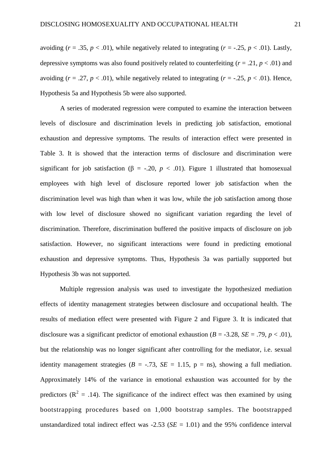avoiding  $(r = .35, p < .01)$ , while negatively related to integrating  $(r = -.25, p < .01)$ . Lastly, depressive symptoms was also found positively related to counterfeiting  $(r = .21, p < .01)$  and avoiding  $(r = .27, p < .01)$ , while negatively related to integrating  $(r = .25, p < .01)$ . Hence, Hypothesis 5a and Hypothesis 5b were also supported.

A series of moderated regression were computed to examine the interaction between levels of disclosure and discrimination levels in predicting job satisfaction, emotional exhaustion and depressive symptoms. The results of interaction effect were presented in Table 3. It is showed that the interaction terms of disclosure and discrimination were significant for job satisfaction ( $\beta$  = -.20,  $p < .01$ ). Figure 1 illustrated that homosexual employees with high level of disclosure reported lower job satisfaction when the discrimination level was high than when it was low, while the job satisfaction among those with low level of disclosure showed no significant variation regarding the level of discrimination. Therefore, discrimination buffered the positive impacts of disclosure on job satisfaction. However, no significant interactions were found in predicting emotional exhaustion and depressive symptoms. Thus, Hypothesis 3a was partially supported but Hypothesis 3b was not supported.

Multiple regression analysis was used to investigate the hypothesized mediation effects of identity management strategies between disclosure and occupational health. The results of mediation effect were presented with Figure 2 and Figure 3. It is indicated that disclosure was a significant predictor of emotional exhaustion  $(B = -3.28, SE = .79, p < .01)$ , but the relationship was no longer significant after controlling for the mediator, i.e. sexual identity management strategies ( $B = -.73$ ,  $SE = 1.15$ ,  $p = ns$ ), showing a full mediation. Approximately 14% of the variance in emotional exhaustion was accounted for by the predictors ( $\mathbb{R}^2 = .14$ ). The significance of the indirect effect was then examined by using bootstrapping procedures based on 1,000 bootstrap samples. The bootstrapped unstandardized total indirect effect was  $-2.53$  ( $SE = 1.01$ ) and the 95% confidence interval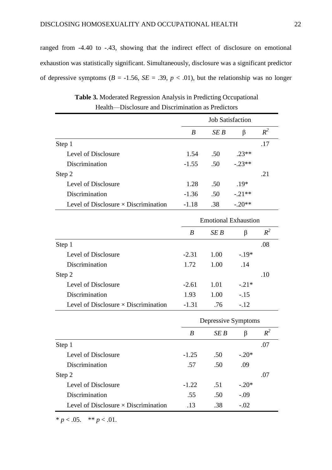ranged from -4.40 to -.43, showing that the indirect effect of disclosure on emotional exhaustion was statistically significant. Simultaneously, disclosure was a significant predictor of depressive symptoms ( $B = -1.56$ ,  $SE = .39$ ,  $p < .01$ ), but the relationship was no longer

|                                             |         |      | <b>Job Satisfaction</b> |       |
|---------------------------------------------|---------|------|-------------------------|-------|
|                                             | B       | SE B | β                       | $R^2$ |
| Step 1                                      |         |      |                         | .17   |
| Level of Disclosure                         | 1.54    | .50  | $23**$                  |       |
| Discrimination                              | $-1.55$ | .50  | $-.23**$                |       |
| Step 2                                      |         |      |                         | .21   |
| Level of Disclosure                         | 1.28    | .50  | $.19*$                  |       |
| Discrimination                              | $-1.36$ | .50  | $-.21**$                |       |
| Level of Disclosure $\times$ Discrimination | $-1.18$ | .38  | $-.20**$                |       |

**Table 3.** Moderated Regression Analysis in Predicting Occupational Health—Disclosure and Discrimination as Predictors

|                                             |         | <b>Emotional Exhaustion</b> |        |       |
|---------------------------------------------|---------|-----------------------------|--------|-------|
|                                             | B       | SE B                        | β      | $R^2$ |
| Step 1                                      |         |                             |        | .08   |
| Level of Disclosure                         | $-2.31$ | 1.00                        | $-19*$ |       |
| Discrimination                              | 1.72    | 1.00                        | .14    |       |
| Step 2                                      |         |                             |        | .10   |
| Level of Disclosure                         | $-2.61$ | 1.01                        | $-21*$ |       |
| Discrimination                              | 1.93    | 1.00                        | $-.15$ |       |
| Level of Disclosure $\times$ Discrimination | $-1.31$ | .76                         | $-.12$ |       |

|                                             |         | Depressive Symptoms |         |       |
|---------------------------------------------|---------|---------------------|---------|-------|
|                                             | B       | SE B                | β       | $R^2$ |
| Step 1                                      |         |                     |         | .07   |
| Level of Disclosure                         | $-1.25$ | .50                 | $-.20*$ |       |
| Discrimination                              | .57     | .50                 | .09     |       |
| Step 2                                      |         |                     |         | .07   |
| Level of Disclosure                         | $-1.22$ | .51                 | $-.20*$ |       |
| Discrimination                              | .55     | .50                 | $-.09$  |       |
| Level of Disclosure $\times$ Discrimination | .13     | .38                 | $-.02$  |       |

\*  $p < .05.$  \*\*  $p < .01.$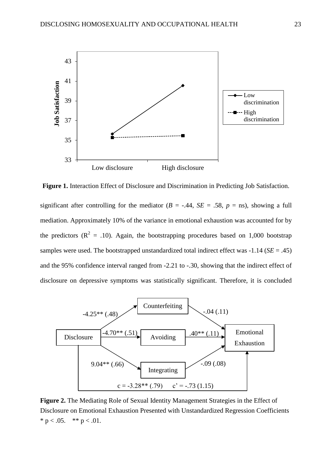

**Figure 1.** Interaction Effect of Disclosure and Discrimination in Predicting Job Satisfaction.

significant after controlling for the mediator ( $B = -.44$ ,  $SE = .58$ ,  $p = \text{ns}$ ), showing a full mediation. Approximately 10% of the variance in emotional exhaustion was accounted for by the predictors ( $\mathbb{R}^2 = .10$ ). Again, the bootstrapping procedures based on 1,000 bootstrap samples were used. The bootstrapped unstandardized total indirect effect was -1.14 (*SE* = .45) and the 95% confidence interval ranged from -2.21 to -.30, showing that the indirect effect of disclosure on depressive symptoms was statistically significant. Therefore, it is concluded



**Figure 2.** The Mediating Role of Sexual Identity Management Strategies in the Effect of Disclosure on Emotional Exhaustion Presented with Unstandardized Regression Coefficients \*  $p < .05$ . \*\*  $p < .01$ .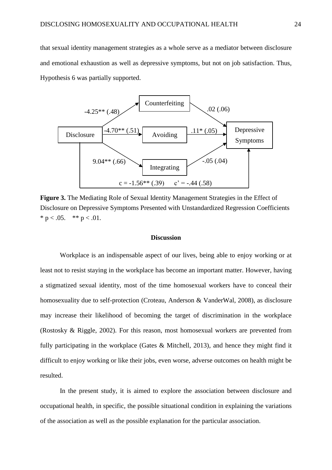that sexual identity management strategies as a whole serve as a mediator between disclosure and emotional exhaustion as well as depressive symptoms, but not on job satisfaction. Thus, Hypothesis 6 was partially supported.



**Figure 3.** The Mediating Role of Sexual Identity Management Strategies in the Effect of Disclosure on Depressive Symptoms Presented with Unstandardized Regression Coefficients \*  $p < .05$ . \*\*  $p < .01$ .

# **Discussion**

Workplace is an indispensable aspect of our lives, being able to enjoy working or at least not to resist staying in the workplace has become an important matter. However, having a stigmatized sexual identity, most of the time homosexual workers have to conceal their homosexuality due to self-protection (Croteau, Anderson & VanderWal, 2008), as disclosure may increase their likelihood of becoming the target of discrimination in the workplace (Rostosky & Riggle, 2002). For this reason, most homosexual workers are prevented from fully participating in the workplace (Gates & Mitchell, 2013), and hence they might find it difficult to enjoy working or like their jobs, even worse, adverse outcomes on health might be resulted.

In the present study, it is aimed to explore the association between disclosure and occupational health, in specific, the possible situational condition in explaining the variations of the association as well as the possible explanation for the particular association.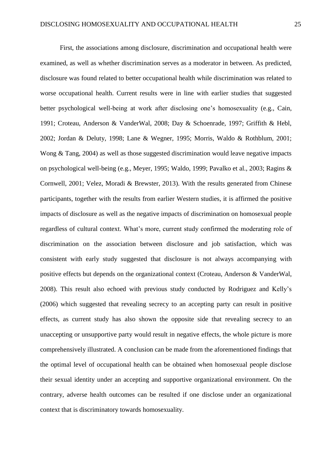First, the associations among disclosure, discrimination and occupational health were examined, as well as whether discrimination serves as a moderator in between. As predicted, disclosure was found related to better occupational health while discrimination was related to worse occupational health. Current results were in line with earlier studies that suggested better psychological well-being at work after disclosing one's homosexuality (e.g., Cain, 1991; Croteau, Anderson & VanderWal, 2008; Day & Schoenrade, 1997; Griffith & Hebl, 2002; Jordan & Deluty, 1998; Lane & Wegner, 1995; Morris, Waldo & Rothblum, 2001; Wong & Tang, 2004) as well as those suggested discrimination would leave negative impacts on psychological well-being (e.g., Meyer, 1995; Waldo, 1999; Pavalko et al., 2003; Ragins & Cornwell, 2001; Velez, Moradi & Brewster, 2013). With the results generated from Chinese participants, together with the results from earlier Western studies, it is affirmed the positive impacts of disclosure as well as the negative impacts of discrimination on homosexual people regardless of cultural context. What's more, current study confirmed the moderating role of discrimination on the association between disclosure and job satisfaction, which was consistent with early study suggested that disclosure is not always accompanying with positive effects but depends on the organizational context (Croteau, Anderson & VanderWal, 2008). This result also echoed with previous study conducted by Rodriguez and Kelly's (2006) which suggested that revealing secrecy to an accepting party can result in positive effects, as current study has also shown the opposite side that revealing secrecy to an unaccepting or unsupportive party would result in negative effects, the whole picture is more comprehensively illustrated. A conclusion can be made from the aforementioned findings that the optimal level of occupational health can be obtained when homosexual people disclose their sexual identity under an accepting and supportive organizational environment. On the contrary, adverse health outcomes can be resulted if one disclose under an organizational context that is discriminatory towards homosexuality.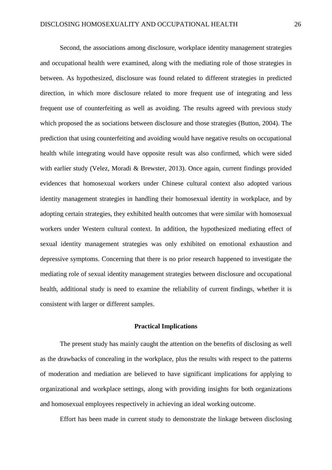Second, the associations among disclosure, workplace identity management strategies and occupational health were examined, along with the mediating role of those strategies in between. As hypothesized, disclosure was found related to different strategies in predicted direction, in which more disclosure related to more frequent use of integrating and less frequent use of counterfeiting as well as avoiding. The results agreed with previous study which proposed the as sociations between disclosure and those strategies (Button, 2004). The prediction that using counterfeiting and avoiding would have negative results on occupational health while integrating would have opposite result was also confirmed, which were sided with earlier study (Velez, Moradi & Brewster, 2013). Once again, current findings provided evidences that homosexual workers under Chinese cultural context also adopted various identity management strategies in handling their homosexual identity in workplace, and by adopting certain strategies, they exhibited health outcomes that were similar with homosexual workers under Western cultural context. In addition, the hypothesized mediating effect of sexual identity management strategies was only exhibited on emotional exhaustion and depressive symptoms. Concerning that there is no prior research happened to investigate the mediating role of sexual identity management strategies between disclosure and occupational health, additional study is need to examine the reliability of current findings, whether it is consistent with larger or different samples.

# **Practical Implications**

The present study has mainly caught the attention on the benefits of disclosing as well as the drawbacks of concealing in the workplace, plus the results with respect to the patterns of moderation and mediation are believed to have significant implications for applying to organizational and workplace settings, along with providing insights for both organizations and homosexual employees respectively in achieving an ideal working outcome.

Effort has been made in current study to demonstrate the linkage between disclosing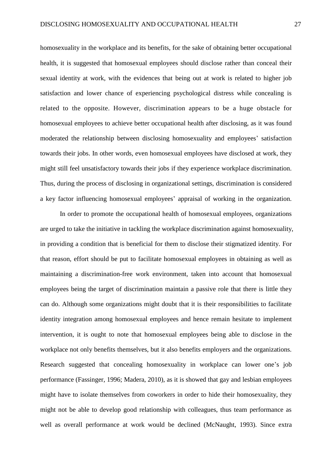homosexuality in the workplace and its benefits, for the sake of obtaining better occupational health, it is suggested that homosexual employees should disclose rather than conceal their sexual identity at work, with the evidences that being out at work is related to higher job satisfaction and lower chance of experiencing psychological distress while concealing is related to the opposite. However, discrimination appears to be a huge obstacle for homosexual employees to achieve better occupational health after disclosing, as it was found moderated the relationship between disclosing homosexuality and employees' satisfaction towards their jobs. In other words, even homosexual employees have disclosed at work, they might still feel unsatisfactory towards their jobs if they experience workplace discrimination. Thus, during the process of disclosing in organizational settings, discrimination is considered a key factor influencing homosexual employees' appraisal of working in the organization.

In order to promote the occupational health of homosexual employees, organizations are urged to take the initiative in tackling the workplace discrimination against homosexuality, in providing a condition that is beneficial for them to disclose their stigmatized identity. For that reason, effort should be put to facilitate homosexual employees in obtaining as well as maintaining a discrimination-free work environment, taken into account that homosexual employees being the target of discrimination maintain a passive role that there is little they can do. Although some organizations might doubt that it is their responsibilities to facilitate identity integration among homosexual employees and hence remain hesitate to implement intervention, it is ought to note that homosexual employees being able to disclose in the workplace not only benefits themselves, but it also benefits employers and the organizations. Research suggested that concealing homosexuality in workplace can lower one's job performance (Fassinger, 1996; Madera, 2010), as it is showed that gay and lesbian employees might have to isolate themselves from coworkers in order to hide their homosexuality, they might not be able to develop good relationship with colleagues, thus team performance as well as overall performance at work would be declined (McNaught, 1993). Since extra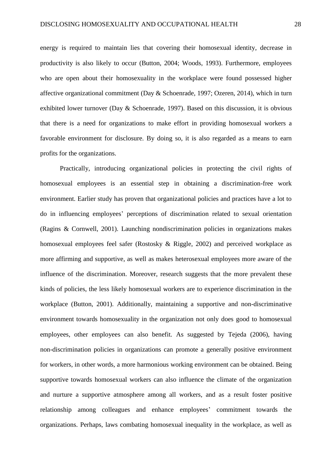energy is required to maintain lies that covering their homosexual identity, decrease in productivity is also likely to occur (Button, 2004; Woods, 1993). Furthermore, employees who are open about their homosexuality in the workplace were found possessed higher affective organizational commitment (Day & Schoenrade, 1997; Ozeren, 2014), which in turn exhibited lower turnover (Day & Schoenrade, 1997). Based on this discussion, it is obvious that there is a need for organizations to make effort in providing homosexual workers a favorable environment for disclosure. By doing so, it is also regarded as a means to earn profits for the organizations.

Practically, introducing organizational policies in protecting the civil rights of homosexual employees is an essential step in obtaining a discrimination-free work environment. Earlier study has proven that organizational policies and practices have a lot to do in influencing employees' perceptions of discrimination related to sexual orientation (Ragins & Cornwell, 2001). Launching nondiscrimination policies in organizations makes homosexual employees feel safer (Rostosky & Riggle, 2002) and perceived workplace as more affirming and supportive, as well as makes heterosexual employees more aware of the influence of the discrimination. Moreover, research suggests that the more prevalent these kinds of policies, the less likely homosexual workers are to experience discrimination in the workplace (Button, 2001). Additionally, maintaining a supportive and non-discriminative environment towards homosexuality in the organization not only does good to homosexual employees, other employees can also benefit. As suggested by Tejeda (2006), having non-discrimination policies in organizations can promote a generally positive environment for workers, in other words, a more harmonious working environment can be obtained. Being supportive towards homosexual workers can also influence the climate of the organization and nurture a supportive atmosphere among all workers, and as a result foster positive relationship among colleagues and enhance employees' commitment towards the organizations. Perhaps, laws combating homosexual inequality in the workplace, as well as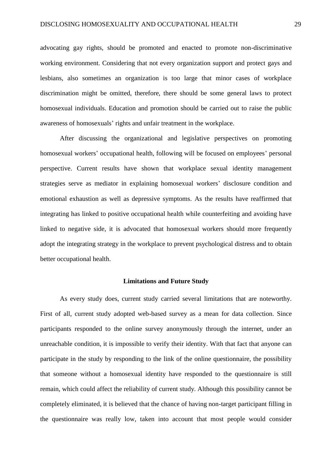advocating gay rights, should be promoted and enacted to promote non-discriminative working environment. Considering that not every organization support and protect gays and lesbians, also sometimes an organization is too large that minor cases of workplace discrimination might be omitted, therefore, there should be some general laws to protect homosexual individuals. Education and promotion should be carried out to raise the public awareness of homosexuals' rights and unfair treatment in the workplace.

After discussing the organizational and legislative perspectives on promoting homosexual workers' occupational health, following will be focused on employees' personal perspective. Current results have shown that workplace sexual identity management strategies serve as mediator in explaining homosexual workers' disclosure condition and emotional exhaustion as well as depressive symptoms. As the results have reaffirmed that integrating has linked to positive occupational health while counterfeiting and avoiding have linked to negative side, it is advocated that homosexual workers should more frequently adopt the integrating strategy in the workplace to prevent psychological distress and to obtain better occupational health.

#### **Limitations and Future Study**

As every study does, current study carried several limitations that are noteworthy. First of all, current study adopted web-based survey as a mean for data collection. Since participants responded to the online survey anonymously through the internet, under an unreachable condition, it is impossible to verify their identity. With that fact that anyone can participate in the study by responding to the link of the online questionnaire, the possibility that someone without a homosexual identity have responded to the questionnaire is still remain, which could affect the reliability of current study. Although this possibility cannot be completely eliminated, it is believed that the chance of having non-target participant filling in the questionnaire was really low, taken into account that most people would consider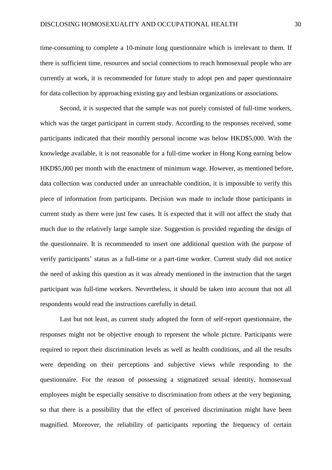time-consuming to complete a 10-minute long questionnaire which is irrelevant to them. If there is sufficient time, resources and social connections to reach homosexual people who are currently at work, it is recommended for future study to adopt pen and paper questionnaire for data collection by approaching existing gay and lesbian organizations or associations.

Second, it is suspected that the sample was not purely consisted of full-time workers, which was the target participant in current study. According to the responses received, some participants indicated that their monthly personal income was below HKD\$5,000. With the knowledge available, it is not reasonable for a full-time worker in Hong Kong earning below HKD\$5,000 per month with the enactment of minimum wage. However, as mentioned before, data collection was conducted under an unreachable condition, it is impossible to verify this piece of information from participants. Decision was made to include those participants in current study as there were just few cases. It is expected that it will not affect the study that much due to the relatively large sample size. Suggestion is provided regarding the design of the questionnaire. It is recommended to insert one additional question with the purpose of verify participants' status as a full-time or a part-time worker. Current study did not notice the need of asking this question as it was already mentioned in the instruction that the target participant was full-time workers. Nevertheless, it should be taken into account that not all respondents would read the instructions carefully in detail.

Last but not least, as current study adopted the form of self-report questionnaire, the responses might not be objective enough to represent the whole picture. Participants were required to report their discrimination levels as well as health conditions, and all the results were depending on their perceptions and subjective views while responding to the questionnaire. For the reason of possessing a stigmatized sexual identity, homosexual employees might be especially sensitive to discrimination from others at the very beginning, so that there is a possibility that the effect of perceived discrimination might have been magnified. Moreover, the reliability of participants reporting the frequency of certain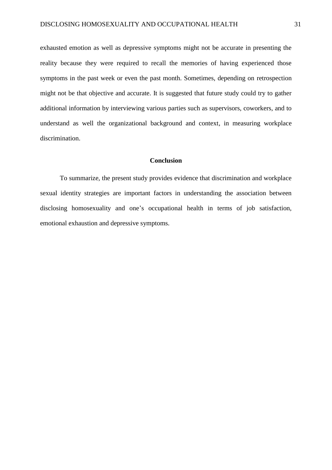exhausted emotion as well as depressive symptoms might not be accurate in presenting the reality because they were required to recall the memories of having experienced those symptoms in the past week or even the past month. Sometimes, depending on retrospection might not be that objective and accurate. It is suggested that future study could try to gather additional information by interviewing various parties such as supervisors, coworkers, and to understand as well the organizational background and context, in measuring workplace discrimination.

# **Conclusion**

To summarize, the present study provides evidence that discrimination and workplace sexual identity strategies are important factors in understanding the association between disclosing homosexuality and one's occupational health in terms of job satisfaction, emotional exhaustion and depressive symptoms.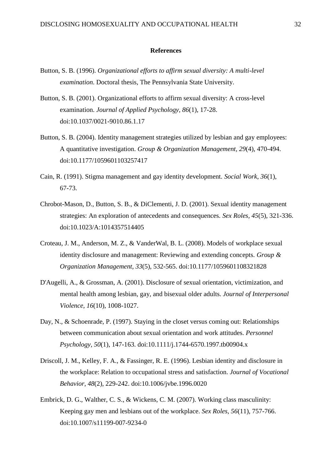#### **References**

- Button, S. B. (1996). *Organizational efforts to affirm sexual diversity: A multi-level examination*. Doctoral thesis, The Pennsylvania State University.
- Button, S. B. (2001). Organizational efforts to affirm sexual diversity: A cross-level examination. *Journal of Applied Psychology, 86*(1), 17-28. doi:10.1037/0021-9010.86.1.17
- Button, S. B. (2004). Identity management strategies utilized by lesbian and gay employees: A quantitative investigation. *Group & Organization Management, 29*(4), 470-494. doi:10.1177/1059601103257417
- Cain, R. (1991). Stigma management and gay identity development. *Social Work, 36*(1), 67-73.
- Chrobot-Mason, D., Button, S. B., & DiClementi, J. D. (2001). Sexual identity management strategies: An exploration of antecedents and consequences. *Sex Roles, 45*(5), 321-336. doi:10.1023/A:1014357514405
- Croteau, J. M., Anderson, M. Z., & VanderWal, B. L. (2008). Models of workplace sexual identity disclosure and management: Reviewing and extending concepts. *Group & Organization Management, 33*(5), 532-565. doi:10.1177/1059601108321828
- D'Augelli, A., & Grossman, A. (2001). Disclosure of sexual orientation, victimization, and mental health among lesbian, gay, and bisexual older adults. *Journal of Interpersonal Violence, 16*(10), 1008-1027.
- Day, N., & Schoenrade, P. (1997). Staying in the closet versus coming out: Relationships between communication about sexual orientation and work attitudes. *Personnel Psychology, 50*(1), 147-163. doi:10.1111/j.1744-6570.1997.tb00904.x
- Driscoll, J. M., Kelley, F. A., & Fassinger, R. E. (1996). Lesbian identity and disclosure in the workplace: Relation to occupational stress and satisfaction. *Journal of Vocational Behavior, 48*(2), 229-242. doi:10.1006/jvbe.1996.0020
- Embrick, D. G., Walther, C. S., & Wickens, C. M. (2007). Working class masculinity: Keeping gay men and lesbians out of the workplace. *Sex Roles, 56*(11), 757-766. doi:10.1007/s11199-007-9234-0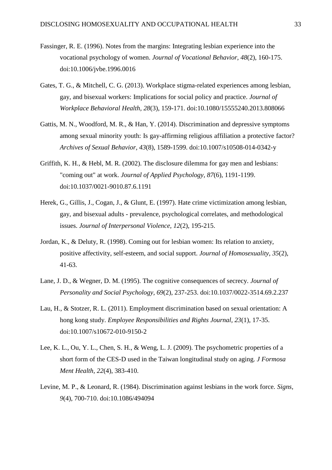- Fassinger, R. E. (1996). Notes from the margins: Integrating lesbian experience into the vocational psychology of women. *Journal of Vocational Behavior, 48*(2), 160-175. doi:10.1006/jvbe.1996.0016
- Gates, T. G., & Mitchell, C. G. (2013). Workplace stigma-related experiences among lesbian, gay, and bisexual workers: Implications for social policy and practice. *Journal of Workplace Behavioral Health, 28*(3), 159-171. doi:10.1080/15555240.2013.808066
- Gattis, M. N., Woodford, M. R., & Han, Y. (2014). Discrimination and depressive symptoms among sexual minority youth: Is gay-affirming religious affiliation a protective factor? *Archives of Sexual Behavior, 43*(8), 1589-1599. doi:10.1007/s10508-014-0342-y
- Griffith, K. H., & Hebl, M. R. (2002). The disclosure dilemma for gay men and lesbians: "coming out" at work. *Journal of Applied Psychology, 87*(6), 1191-1199. doi:10.1037/0021-9010.87.6.1191
- Herek, G., Gillis, J., Cogan, J., & Glunt, E. (1997). Hate crime victimization among lesbian, gay, and bisexual adults - prevalence, psychological correlates, and methodological issues. *Journal of Interpersonal Violence, 12*(2), 195-215.
- Jordan, K., & Deluty, R. (1998). Coming out for lesbian women: Its relation to anxiety, positive affectivity, self-esteem, and social support. *Journal of Homosexuality, 35*(2), 41-63.
- Lane, J. D., & Wegner, D. M. (1995). The cognitive consequences of secrecy. *Journal of Personality and Social Psychology, 69*(2), 237-253. doi:10.1037/0022-3514.69.2.237
- Lau, H., & Stotzer, R. L. (2011). Employment discrimination based on sexual orientation: A hong kong study. *Employee Responsibilities and Rights Journal, 23*(1), 17-35. doi:10.1007/s10672-010-9150-2
- Lee, K. L., Ou, Y. L., Chen, S. H., & Weng, L. J. (2009). The psychometric properties of a short form of the CES-D used in the Taiwan longitudinal study on aging. *J Formosa Ment Health, 22*(4), 383-410.
- Levine, M. P., & Leonard, R. (1984). Discrimination against lesbians in the work force. *Signs, 9*(4), 700-710. doi:10.1086/494094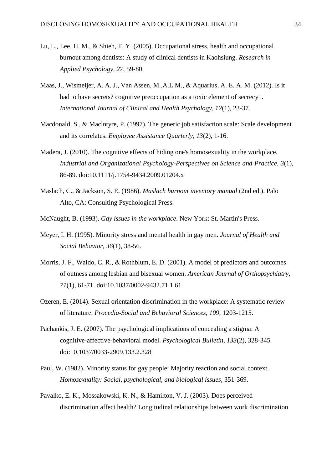- Lu, L., Lee, H. M., & Shieh, T. Y. (2005). Occupational stress, health and occupational burnout among dentists: A study of clinical dentists in Kaohsiung. *Research in Applied Psychology, 27*, 59-80.
- Maas, J., Wismeijer, A. A. J., Van Assen, M.,A.L.M., & Aquarius, A. E. A. M. (2012). Is it bad to have secrets? cognitive preoccupation as a toxic element of secrecy1. *International Journal of Clinical and Health Psychology, 12*(1), 23-37.
- Macdonald, S., & Maclntyre, P. (1997). The generic job satisfaction scale: Scale development and its correlates. *Employee Assistance Quarterly, 13*(2), 1-16.
- Madera, J. (2010). The cognitive effects of hiding one's homosexuality in the workplace. *Industrial and Organizational Psychology-Perspectives on Science and Practice, 3*(1), 86-89. doi:10.1111/j.1754-9434.2009.01204.x
- Maslach, C., & Jackson, S. E. (1986). *Maslach burnout inventory manual* (2nd ed.). Palo Alto, CA: Consulting Psychological Press.
- McNaught, B. (1993). *Gay issues in the workplace*. New York: St. Martin's Press.
- Meyer, I. H. (1995). Minority stress and mental health in gay men. *Journal of Health and Social Behavior, 36*(1), 38-56.
- Morris, J. F., Waldo, C. R., & Rothblum, E. D. (2001). A model of predictors and outcomes of outness among lesbian and bisexual women. *American Journal of Orthopsychiatry, 71*(1), 61-71. doi:10.1037/0002-9432.71.1.61
- Ozeren, E. (2014). Sexual orientation discrimination in the workplace: A systematic review of literature. *Procedia-Social and Behavioral Sciences, 109*, 1203-1215.
- Pachankis, J. E. (2007). The psychological implications of concealing a stigma: A cognitive-affective-behavioral model. *Psychological Bulletin, 133*(2), 328-345. doi:10.1037/0033-2909.133.2.328
- Paul, W. (1982). Minority status for gay people: Majority reaction and social context. *Homosexuality: Social, psychological, and biological issues*, 351-369.
- Pavalko, E. K., Mossakowski, K. N., & Hamilton, V. J. (2003). Does perceived discrimination affect health? Longitudinal relationships between work discrimination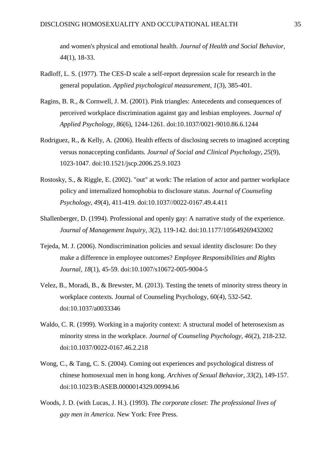and women's physical and emotional health. *Journal of Health and Social Behavior, 44*(1), 18-33.

- Radloff, L. S. (1977). The CES-D scale a self-report depression scale for research in the general population. *Applied psychological measurement, 1*(3), 385-401.
- Ragins, B. R., & Cornwell, J. M. (2001). Pink triangles: Antecedents and consequences of perceived workplace discrimination against gay and lesbian employees. *Journal of Applied Psychology, 86*(6), 1244-1261. doi:10.1037/0021-9010.86.6.1244
- Rodriguez, R., & Kelly, A. (2006). Health effects of disclosing secrets to imagined accepting versus nonaccepting confidants. *Journal of Social and Clinical Psychology, 25*(9), 1023-1047. doi:10.1521/jscp.2006.25.9.1023
- Rostosky, S., & Riggle, E. (2002). "out" at work: The relation of actor and partner workplace policy and internalized homophobia to disclosure status. *Journal of Counseling Psychology, 49*(4), 411-419. doi:10.1037//0022-0167.49.4.411
- Shallenberger, D. (1994). Professional and openly gay: A narrative study of the experience. *Journal of Management Inquiry, 3*(2), 119-142. doi:10.1177/105649269432002
- Tejeda, M. J. (2006). Nondiscrimination policies and sexual identity disclosure: Do they make a difference in employee outcomes? *Employee Responsibilities and Rights Journal, 18*(1), 45-59. doi:10.1007/s10672-005-9004-5
- Velez, B., Moradi, B., & Brewster, M. (2013). Testing the tenets of minority stress theory in workplace contexts. Journal of Counseling Psychology, 60(4), 532-542. doi:10.1037/a0033346
- Waldo, C. R. (1999). Working in a majority context: A structural model of heterosexism as minority stress in the workplace. *Journal of Counseling Psychology, 46*(2), 218-232. doi:10.1037/0022-0167.46.2.218
- Wong, C., & Tang, C. S. (2004). Coming out experiences and psychological distress of chinese homosexual men in hong kong. *Archives of Sexual Behavior, 33*(2), 149-157. doi:10.1023/B:ASEB.0000014329.00994.b6
- Woods, J. D. (with Lucas, J. H.). (1993). *The corporate closet: The professional lives of gay men in America*. New York: Free Press.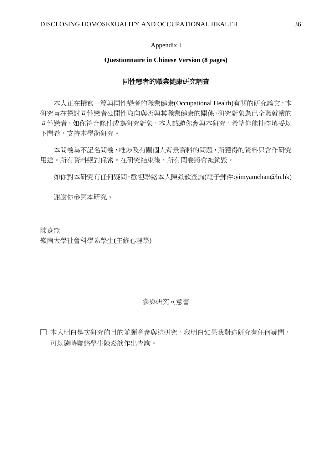## Appendix I

# **Questionnaire in Chinese Version (8 pages)**

# 同性戀者的職業健康研究調查

 本人正在撰寫一篇與同性戀者的職業健康(Occupational Health)有關的研究論文。本 研究旨在探討同性戀者公開性取向與否與其職業健康的關係,研究對象為已全職就業的 同性戀者。如你符合條件成為研究對象,本人誠邀你參與本研究。希望你能抽空填妥以 下問卷,支持本學術研究。

 本問卷為不記名問卷,唯涉及有關個人背景資料的問題,所獲得的資料只會作研究 用途。所有資料絕對保密。在研究結束後,所有問卷將會被銷毀。

如你對本研究有任何疑問,歡迎聯絡本人陳焱歆查詢(電子郵件:yimyamchan@ln.hk)

謝謝你參與本研究。

陳焱歆 嶺南大學社會科學系學生(主修心理學)

— — — — — — — — — — — — — — — — — — —

# 參與研究同意書

□ 本人明白是次研究的目的並願意參與這研究。我明白如果我對這研究有任何疑問, 可以隨時聯絡學生陳焱歆作出查詢。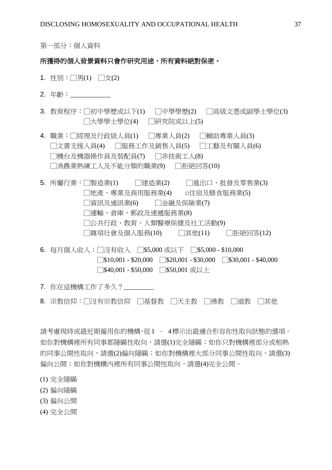第一部分:個人資料

# 所獲得的個人背景資料只會作研究用途,所有資料絕對保密。

- 1. 性別:□男(1) □女(2)
- 2. 年齡:
- 3. 教育程序:「初中學歷或以下(1) 「中學學歷(2) 「高級文憑或副學十學位(3) □大學學士學位(4) □研究院或以上(5)
- 4. 職業:「經理及行政級人員(1) 「專業人員(2) 「輔助專業人員(3) □文書支援人員(4) □服務工作及銷售人員(5) □工藝及有關人員(6) □機台及機器操作員及裝配員(7) □非技術工人(8) □漁農業熟練工人及不能分類的職業(9) □拒絕回答(10)
- 5. 所屬行業:□製造業(1) □建造業(2) □進出口、批發及零售業(3) □地產、專業及商用服務業(4) □住宿及膳食服務業(5) □資訊及通訊業(6) □金融及保險業(7) □運輸、倉庫、郵政及速遞服務業(8) □公共行政、教育、人類醫療保健及社工活動(9) □雜項社會及個人服務(10) □其他(11) □拒絕回答(12)
- 6. 每月個人收入:□沒有收入 □\$5,000 或以下 □\$5,000 \$10,000  $\sqrt{\$10,001 - $20,000}$   $\sqrt{\$20,001 - $30,000}$   $\sqrt{\$30,001 - $40,000}$ □\$40,001 - \$50,000 □\$50,001 或以上
- 7. 你在這機構工作了多久?
- 8. 宗教信仰:□沒有宗教信仰 □基督教 □天主教 □佛教 □道教 □其他

請考慮現時或最近期僱用你的機構,從1 – 4標示出最適合形容你性取向狀態的選項。 如你對機構裡所有同事都隱瞞性取向,請選(1)完全隱瞞;如你只對機構裡部分或相熟 的同事公開性取向,請選(2)偏向隱瞞;如你對機構裡大部分同事公開性取向,請選(3) 偏向公開;如你對機構內裡所有同事公開性取向,請選(4)完全公開。

- (1) 完全隱瞞
- (2) 偏向隱瞞
- (3) 偏向公開
- (4) 完全公開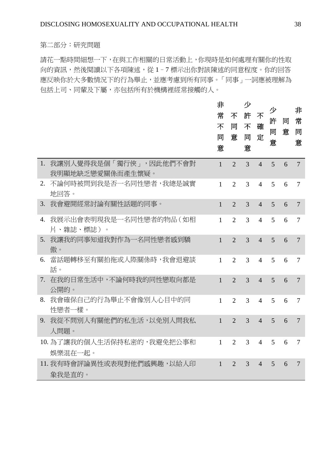# 第二部分:研究問題

請花一點時間細想一下,在與工作相關的日常活動上,你現時是如何處理有關你的性取 向的資訊,然後閱讀以下各項陳述,從 1-7標示出你對該陳述的同意程度。你的回答 應反映你於大多數情況下的行為舉止,並應考慮到所有同事。「同事」一詞應被理解為 包括上司、同輩及下屬,亦包括所有於機構裡經常接觸的人。

|    |                                            | 非<br>常<br>不<br>同<br>意 | 不<br>同<br>意            | 少<br>許<br>不<br>同<br>意 | 不<br>確<br>定    | 少<br>許<br>同<br>意 | 同<br>意 | 非<br>常<br>同<br>意 |
|----|--------------------------------------------|-----------------------|------------------------|-----------------------|----------------|------------------|--------|------------------|
| 1. | 我讓別人覺得我是個「獨行俠」,因此他們不會對<br>我明顯地缺乏戀愛關係而產生懷疑。 | $\mathbf{1}$          | $\overline{2}$         | 3                     | $\overline{4}$ | 5                | 6      | $\overline{7}$   |
|    | 2. 不論何時被問到我是否一名同性戀者,我總是誠實<br>地回答。          | $\mathbf{1}$          | $\overline{2}$         | 3                     | $\overline{4}$ | 5                | 6      | $\tau$           |
| 3. | 我會避開經常討論有關性話題的同事。                          | $\mathbf{1}$          | $\overline{2}$         | 3                     | $\overline{4}$ | 5                | 6      | $\overline{7}$   |
| 4. | 我展示出會表明現我是一名同性戀者的物品(如相<br>片、雜誌、標誌)。        | $\mathbf{1}$          | $\overline{2}$         | 3                     | $\overline{4}$ | 5                | 6      | $\tau$           |
| 5. | 我讓我的同事知道我對作為一名同性戀者感到驕<br>傲。                | $\mathbf{1}$          | $\overline{2}$         | 3                     | $\overline{4}$ | 5                | 6      | $\overline{7}$   |
| 6. | 當話題轉移至有關拍拖或人際關係時,我會退避談<br>話。               | $\mathbf{1}$          | $\overline{2}$         | 3                     | $\overline{4}$ | 5                | 6      | $\overline{7}$   |
|    | 7. 在我的日常生活中,不論何時我的同性戀取向都是<br>公開的。          | $\mathbf{1}$          | $\overline{2}$         | 3                     | $\overline{4}$ | 5                | 6      | $\overline{7}$   |
| 8. | 我會確保自己的行為舉止不會像別人心目中的同<br>性戀者一樣。            | $\mathbf{1}$          | $\overline{2}$         | 3                     | $\overline{4}$ | 5                | 6      | $\overline{7}$   |
| 9. | 我從不問別人有關他們的私生活,以免別人問我私<br>人問題。             | $\mathbf{1}$          | $\overline{2}$         | 3                     | $\overline{4}$ | 5                | 6      | $\overline{7}$   |
|    | 10. 為了讓我的個人生活保持私密的,我避免把公事和<br>娯樂混在一起。      | $\mathbf{1}$          | $\overline{2}$         | 3                     | $\overline{4}$ | 5                | 6      | 7                |
|    | 11. 我有時會評論異性或表現對他們感興趣,以給人印<br>象我是直的。       | $\mathbf{1}$          | $\mathcal{D}_{\alpha}$ | 3                     | $\overline{4}$ | 5                | 6      | $\overline{7}$   |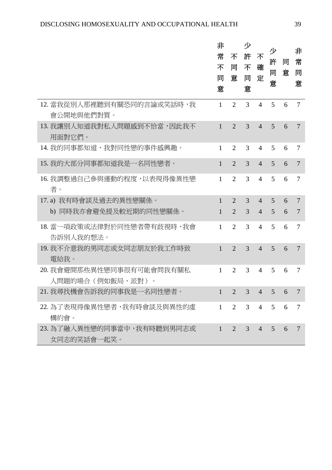|                                               | 非<br>常<br>不<br>同<br>意 | 不<br>同<br>意    | 少<br>許<br>不<br>同<br>意 | 不<br>確<br>定    | 少<br>許<br>同<br>意 | 同<br>意 | 非<br>常<br>同<br>意 |
|-----------------------------------------------|-----------------------|----------------|-----------------------|----------------|------------------|--------|------------------|
| 12. 當我從別人那裡聽到有關恐同的言論或笑話時,我<br>會公開地與他們對質。      | $\mathbf{1}$          | $\overline{2}$ | 3                     | $\overline{4}$ | 5                | 6      | 7                |
| 13. 我讓別人知道我對私人問題感到不恰當,因此我不<br>用面對它們。          | $\mathbf{1}$          | $\overline{2}$ | 3                     | $\overline{4}$ | 5                | 6      | 7                |
| 14. 我的同事都知道,我對同性戀的事件感興趣。                      | $\mathbf{1}$          | $\overline{2}$ | 3                     | $\overline{4}$ | 5                | 6      | 7                |
| 15. 我的大部分同事都知道我是一名同性戀者。                       | $\mathbf{1}$          | $\overline{2}$ | 3                     | $\overline{4}$ | 5                | 6      | $\overline{7}$   |
| 16. 我調整過自己參與運動的程度,以表現得像異性戀<br>者。              | 1                     | 2              | 3                     | $\overline{4}$ | 5                | 6      | 7                |
| 17.a) 我有時會談及過去的異性戀關係。                         | $\mathbf{1}$          | $\overline{2}$ | 3                     | $\overline{4}$ | 5                | 6      | $\overline{7}$   |
| b) 同時我亦會避免提及較近期的同性戀關係。                        | $\mathbf{1}$          | $\overline{2}$ | 3                     | $\overline{4}$ | 5                | 6      | 7                |
| 18. 當一項政策或法律對於同性戀者帶有歧視時, 我會<br>告訴別人我的想法。      | 1                     | $\overline{2}$ | 3                     | $\overline{4}$ | 5                | 6      | $\tau$           |
| 19. 我不介意我的男同志或女同志朋友於我工作時致<br>電給我。             | $\mathbf{1}$          | $\overline{2}$ | 3                     | $\overline{4}$ | 5                | 6      | $\overline{7}$   |
| 20. 我會避開那些異性戀同事很有可能會問我有關私<br>人問題的場合(例如飯局、派對)。 | 1                     | $\overline{2}$ | 3                     | $\overline{4}$ | 5                | 6      | 7                |
| 21. 我尋找機會告訴我的同事我是一名同性戀者。                      |                       |                | 3                     | $\overline{4}$ | 5                | 6      |                  |
| 22. 為了表現得像異性戀者,我有時會談及與異性的虛<br>構約會。            | $\mathbf{1}$          | 2              | 3                     | $\overline{4}$ | 5                | 6      | $\tau$           |
| 23. 為了融入異性戀的同事當中,我有時聽到男同志或<br>女同志的笑話會一起笑。     | $\mathbf{1}$          | 2              | $\mathfrak{Z}$        | $\overline{4}$ | $\overline{5}$   | 6      | 7                |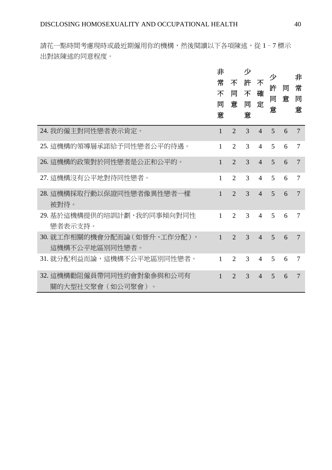請花一點時間考慮現時或最近期僱用你的機構,然後閱讀以下各項陳述,從 1-7標示 出對該陳述的同意程度。

|                                                | 非<br>常<br>不<br>同<br>意 | 不<br>同<br>意           | 少<br>許<br>不<br>同<br>意 | 不<br>確<br>定    | 少<br>許<br>同<br>意 | 同<br>意 | 非<br>常<br>同<br>意 |
|------------------------------------------------|-----------------------|-----------------------|-----------------------|----------------|------------------|--------|------------------|
| 24. 我的僱主對同性戀者表示肯定。                             | $\mathbf{1}$          | $\overline{2}$        | 3                     | $\overline{4}$ | 5                | 6      | $\overline{7}$   |
| 25. 這機構的領導層承諾給予同性戀者公平的待遇。                      | $\mathbf{1}$          | $\overline{2}$        | 3                     | $\overline{4}$ | 5                | 6      | $\overline{7}$   |
| 26. 這機構的政策對於同性戀者是公正和公平的。                       | 1                     | $\overline{2}$        | 3                     | $\overline{4}$ | 5                | 6      | 7                |
| 27. 這機構沒有公平地對待同性戀者。                            | 1                     | $\overline{2}$        | 3                     | $\overline{4}$ | 5                | 6      | $\overline{7}$   |
| 28. 這機構採取行動以保證同性戀者像異性戀者一樣<br>被對待。              | 1                     | $\overline{2}$        | 3                     | $\overline{4}$ | 5                | 6      | 7                |
| 29. 基於這機構提供的培訓計劃, 我的同事傾向對同性<br>戀者表示支持。         | $\mathbf{1}$          | $\overline{2}$        | 3                     | $\overline{4}$ | 5                | 6      | 7                |
| 30. 就工作相關的機會分配而論 (如晉升、工作分配),<br>這機構不公平地區別同性戀者。 | $\mathbf{1}$          | $\overline{2}$        | 3                     | $\overline{4}$ | 5                | 6      | 7                |
| 31. 就分配利益而論,這機構不公平地區別同性戀者。                     | 1                     | $\mathcal{D}_{\cdot}$ | 3                     | $\overline{4}$ | 5                | 6      | 7                |
| 32. 這機構勸阻僱員帶同同性約會對象參與和公司有<br>關的大型社交聚會(如公司聚會)。  | 1                     | $\mathfrak{D}$        | 3                     | $\overline{4}$ | 5                | 6      | 7                |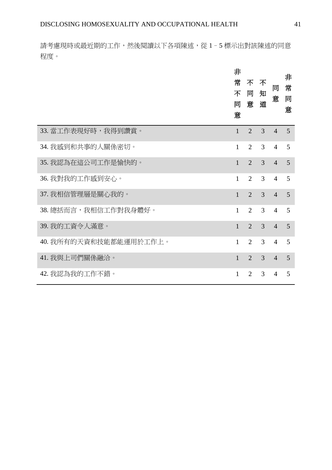請考慮現時或最近期的工作,然後閱讀以下各項陳述,從 1-5 標示出對該陳述的同意 程度。

|                        | 非<br>常<br>不<br>同<br>意 | 不<br>同<br>意    | 不<br>知<br>道    | 同<br>意         | 非<br>常<br>同<br>意 |
|------------------------|-----------------------|----------------|----------------|----------------|------------------|
| 33. 當工作表現好時,我得到讚賞。     | $\mathbf{1}$          | $\overline{2}$ | $\overline{3}$ | $\overline{4}$ | 5                |
| 34. 我感到和共事的人關係密切。      | 1                     | $\overline{2}$ | 3              | 4              | 5                |
| 35. 我認為在這公司工作是愉快的。     | $\mathbf{1}$          | $\overline{2}$ | $\overline{3}$ | $\overline{4}$ | 5                |
| 36. 我對我的工作感到安心。        | $\mathbf{1}$          | 2              | 3              | $\overline{4}$ | 5                |
| 37. 我相信管理層是關心我的。       | $\mathbf{1}$          | $\overline{2}$ | $\overline{3}$ | $\overline{4}$ | 5                |
| 38. 總括而言,我相信工作對我身體好。   | $\mathbf{1}$          | 2              | 3              | $\overline{4}$ | 5                |
| 39. 我的工資令人滿意。          | $\mathbf{1}$          | $\overline{2}$ | $\overline{3}$ | $\overline{4}$ | 5                |
| 40. 我所有的天資和技能都能運用於工作上。 | $\mathbf{1}$          | $\overline{2}$ | 3              | $\overline{4}$ | 5                |
| 41. 我與上司們關係融洽。         | $\mathbf{1}$          | $\overline{2}$ | 3              | $\overline{4}$ | 5                |
| 42. 我認為我的工作不錯。         | 1                     | 2              | 3              | 4              | 5                |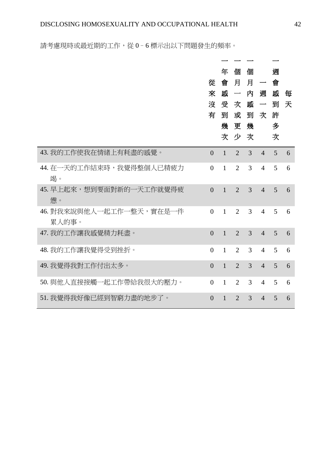請考慮現時或最近期的工作,從 0-6標示出以下問題發生的頻率。

|                                   | 從<br>來<br>沒<br>有 | 年<br>會<br>敐<br>受<br>到<br>幾 | 個<br>月<br>$\overbrace{\phantom{aaaaa}}^{}$<br>次<br>或<br>更幾<br>次少次 | 個<br>月<br>内<br>感<br>到 | $\overline{\phantom{0}}$<br>週<br>$\overline{\phantom{m}}$<br>次 | 週<br>會<br>感<br>到<br>許<br>多<br>次 | 每<br>天 |
|-----------------------------------|------------------|----------------------------|-------------------------------------------------------------------|-----------------------|----------------------------------------------------------------|---------------------------------|--------|
| 43. 我的工作使我在情绪上有耗盡的感覺。             | $\overline{0}$   | $\mathbf{1}$               | $\overline{2}$                                                    | $\overline{3}$        | $\overline{4}$                                                 | $\overline{5}$                  | 6      |
| 44. 在一天的工作結束時,我覺得整個人已精疲力<br>竭。    | $\overline{0}$   | $\mathbf{1}$               | $\overline{2}$                                                    | 3                     | 4                                                              | 5                               | 6      |
| 45. 早上起來,想到要面對新的一天工作就覺得疲<br>備。    | $\overline{0}$   | $\mathbf{1}$               | $\overline{2}$                                                    | 3                     | $\overline{4}$                                                 | 5                               | 6      |
| 46. 對我來說與他人一起工作一整天,實在是一件<br>累人的事。 | $\overline{0}$   | $\mathbf{1}$               | $\overline{2}$                                                    | 3                     | $\overline{4}$                                                 | 5                               | 6      |
| 47. 我的工作讓我感覺精力耗盡。                 | $\theta$         | $\mathbf{1}$               | $\overline{2}$                                                    | 3                     | $\overline{4}$                                                 | 5                               | 6      |
| 48. 我的工作讓我覺得受到挫折。                 | $\overline{0}$   | $\mathbf{1}$               | $\overline{2}$                                                    | 3                     | $\overline{4}$                                                 | 5                               | 6      |
| 49. 我覺得我對工作付出太多。                  | $\theta$         | $\mathbf{1}$               | $\overline{2}$                                                    | $\overline{3}$        | $\overline{4}$                                                 | 5                               | 6      |
| 50. 與他人直接接觸一起工作帶給我很大的壓力。          | $\Omega$         | $\mathbf{1}$               | $\overline{2}$                                                    | 3                     | $\overline{4}$                                                 | $\overline{5}$                  | 6      |
| 51. 我覺得我好像已經到智窮力盡的地步了。            | $\overline{0}$   | $\mathbf{1}$               | $\overline{2}$                                                    | 3                     | $\overline{4}$                                                 | 5                               | 6      |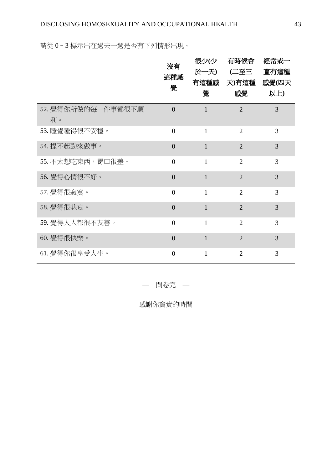請從 0–3 標示出在過去一週是否有下列情形出現。

|                          | 沒有<br>這種感<br>覺 | 很少(少<br>於一天)<br>有這種感<br>覺 | 有時候會<br>(二至三<br>天)有這種<br>感覺 | 經常或一<br>直有這種<br>感覺(四天<br>以上) |
|--------------------------|----------------|---------------------------|-----------------------------|------------------------------|
| 52. 覺得你所做的每一件事都很不順<br>利。 | $\theta$       | $\mathbf{1}$              | $\overline{2}$              | 3                            |
| 53. 睡覺睡得很不安穩。            | $\theta$       | $\mathbf{1}$              | $\overline{2}$              | 3                            |
| 54. 提不起勁來做事。             | $\theta$       | $\mathbf{1}$              | $\overline{2}$              | 3                            |
| 55. 不太想吃東西,胃口很差。         | $\theta$       | $\mathbf{1}$              | $\overline{2}$              | 3                            |
| 56. 覺得心情很不好。             | $\overline{0}$ | $\mathbf{1}$              | $\overline{2}$              | $\overline{3}$               |
| 57. 覺得很寂寞。               | $\overline{0}$ | $\mathbf{1}$              | $\overline{2}$              | 3                            |
| 58. 覺得很悲哀。               | $\overline{0}$ | $\mathbf{1}$              | $\overline{2}$              | $\overline{3}$               |
| 59. 覺得人人都很不友善。           | $\theta$       | $\mathbf{1}$              | $\overline{2}$              | 3                            |
| 60. 覺得很快樂。               | $\overline{0}$ | $\mathbf{1}$              | $\overline{2}$              | 3                            |
| 61. 覺得你很享受人生。            | $\overline{0}$ | $\mathbf{1}$              | $\overline{2}$              | 3                            |

— 問卷完 —

感謝你寶貴的時間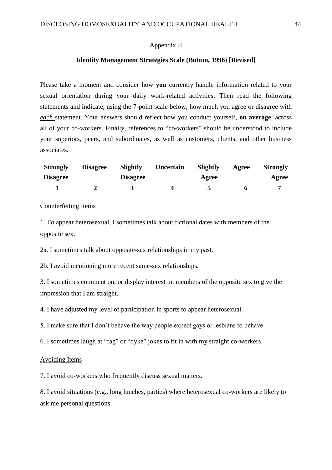#### Appendix II

#### **Identity Management Strategies Scale (Button, 1996) [Revised]**

Please take a moment and consider how **you** currently handle information related to your sexual orientation during your daily work-related activities. Then read the following statements and indicate, using the 7-point scale below, how much you agree or disagree with *each* statement. Your answers should reflect how you conduct yourself, **on average**, across all of your co-workers. Finally, references to "co-workers" should be understood to include your superiors, peers, and subordinates, as well as customers, clients, and other business associates.

| <b>Strongly</b> | <b>Disagree</b> | <b>Slightly</b> | Uncertain | Slightly | Agree | <b>Strongly</b> |
|-----------------|-----------------|-----------------|-----------|----------|-------|-----------------|
| <b>Disagree</b> |                 | <b>Disagree</b> |           | Agree    |       |                 |
|                 |                 |                 |           |          |       |                 |

# Counterfeiting Items

1. To appear heterosexual, I sometimes talk about fictional dates with members of the opposite sex.

2a. I sometimes talk about opposite-sex relationships in my past.

2b. I avoid mentioning more recent same-sex relationships.

3. I sometimes comment on, or display interest in, members of the opposite sex to give the impression that I am straight.

4. I have adjusted my level of participation in sports to appear heterosexual.

5. I make sure that I don't behave the way people expect gays or lesbians to behave.

6. I sometimes laugh at "fag" or "dyke" jokes to fit in with my straight co-workers.

#### Avoiding Items

7. I avoid co-workers who frequently discuss sexual matters.

8. I avoid situations (e.g., long lunches, parties) where heterosexual co-workers are likely to ask me personal questions.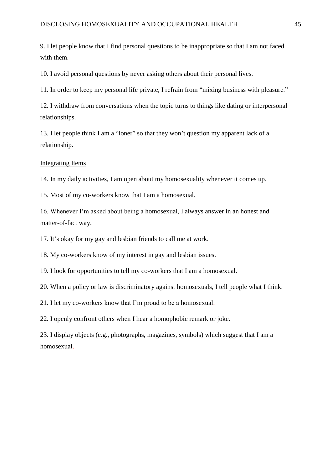9. I let people know that I find personal questions to be inappropriate so that I am not faced with them.

10. I avoid personal questions by never asking others about their personal lives.

11. In order to keep my personal life private, I refrain from "mixing business with pleasure."

12. I withdraw from conversations when the topic turns to things like dating or interpersonal relationships.

13. I let people think I am a "loner" so that they won't question my apparent lack of a relationship.

## Integrating Items

14. In my daily activities, I am open about my homosexuality whenever it comes up.

15. Most of my co-workers know that I am a homosexual.

16. Whenever I'm asked about being a homosexual, I always answer in an honest and matter-of-fact way.

17. It's okay for my gay and lesbian friends to call me at work.

18. My co-workers know of my interest in gay and lesbian issues.

19. I look for opportunities to tell my co-workers that I am a homosexual.

20. When a policy or law is discriminatory against homosexuals, I tell people what I think.

21. I let my co-workers know that I'm proud to be a homosexual.

22. I openly confront others when I hear a homophobic remark or joke.

23. I display objects (e.g., photographs, magazines, symbols) which suggest that I am a homosexual.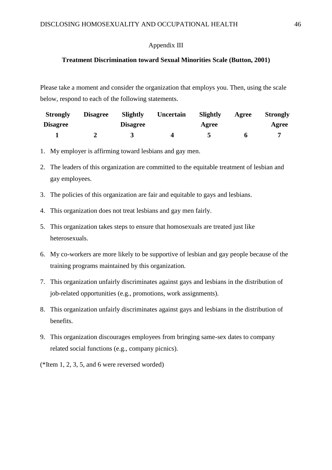# Appendix III

## **Treatment Discrimination toward Sexual Minorities Scale (Button, 2001)**

Please take a moment and consider the organization that employs you. Then, using the scale below, respond to each of the following statements.

| <b>Strongly</b> | <b>Disagree</b> | Slightly        | Uncertain | Slightly | Agree | <b>Strongly</b> |
|-----------------|-----------------|-----------------|-----------|----------|-------|-----------------|
| <b>Disagree</b> |                 | <b>Disagree</b> |           | Agree    |       | Agree           |
|                 |                 |                 |           |          |       |                 |

- 1. My employer is affirming toward lesbians and gay men.
- 2. The leaders of this organization are committed to the equitable treatment of lesbian and gay employees.
- 3. The policies of this organization are fair and equitable to gays and lesbians.
- 4. This organization does not treat lesbians and gay men fairly.
- 5. This organization takes steps to ensure that homosexuals are treated just like heterosexuals.
- 6. My co-workers are more likely to be supportive of lesbian and gay people because of the training programs maintained by this organization.
- 7. This organization unfairly discriminates against gays and lesbians in the distribution of job-related opportunities (e.g., promotions, work assignments).
- 8. This organization unfairly discriminates against gays and lesbians in the distribution of benefits.
- 9. This organization discourages employees from bringing same-sex dates to company related social functions (e.g., company picnics).
- (\*Item 1, 2, 3, 5, and 6 were reversed worded)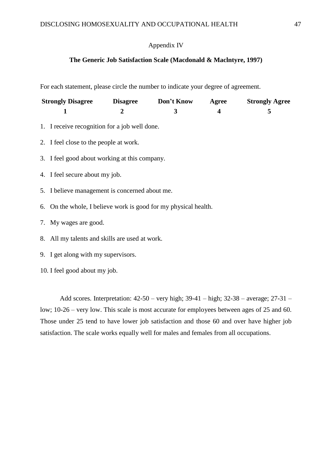# Appendix IV

# **The Generic Job Satisfaction Scale (Macdonald & Maclntyre, 1997)**

For each statement, please circle the number to indicate your degree of agreement.

| <b>Strongly Disagree</b> | <b>Disagree</b> | Don't Know | Agree | <b>Strongly Agree</b> |
|--------------------------|-----------------|------------|-------|-----------------------|
|                          |                 |            |       |                       |

- 1. I receive recognition for a job well done.
- 2. I feel close to the people at work.
- 3. I feel good about working at this company.
- 4. I feel secure about my job.
- 5. I believe management is concerned about me.
- 6. On the whole, I believe work is good for my physical health.
- 7. My wages are good.
- 8. All my talents and skills are used at work.
- 9. I get along with my supervisors.
- 10. I feel good about my job.

Add scores. Interpretation: 42-50 – very high; 39-41 – high; 32-38 – average; 27-31 – low; 10-26 – very low. This scale is most accurate for employees between ages of 25 and 60. Those under 25 tend to have lower job satisfaction and those 60 and over have higher job satisfaction. The scale works equally well for males and females from all occupations.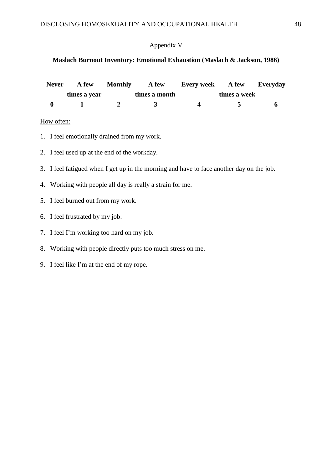# Appendix V

# **Maslach Burnout Inventory: Emotional Exhaustion (Maslach & Jackson, 1986)**

| <b>Never</b> | A few        | <b>Monthly</b> | <b>A</b> few  | <b>Every week</b> A few Everyday |  |
|--------------|--------------|----------------|---------------|----------------------------------|--|
|              | times a year |                | times a month | times a week                     |  |
| $\mathbf{0}$ |              |                |               |                                  |  |

# How often:

- 1. I feel emotionally drained from my work.
- 2. I feel used up at the end of the workday.
- 3. I feel fatigued when I get up in the morning and have to face another day on the job.
- 4. Working with people all day is really a strain for me.
- 5. I feel burned out from my work.
- 6. I feel frustrated by my job.
- 7. I feel I'm working too hard on my job.
- 8. Working with people directly puts too much stress on me.
- 9. I feel like I'm at the end of my rope.